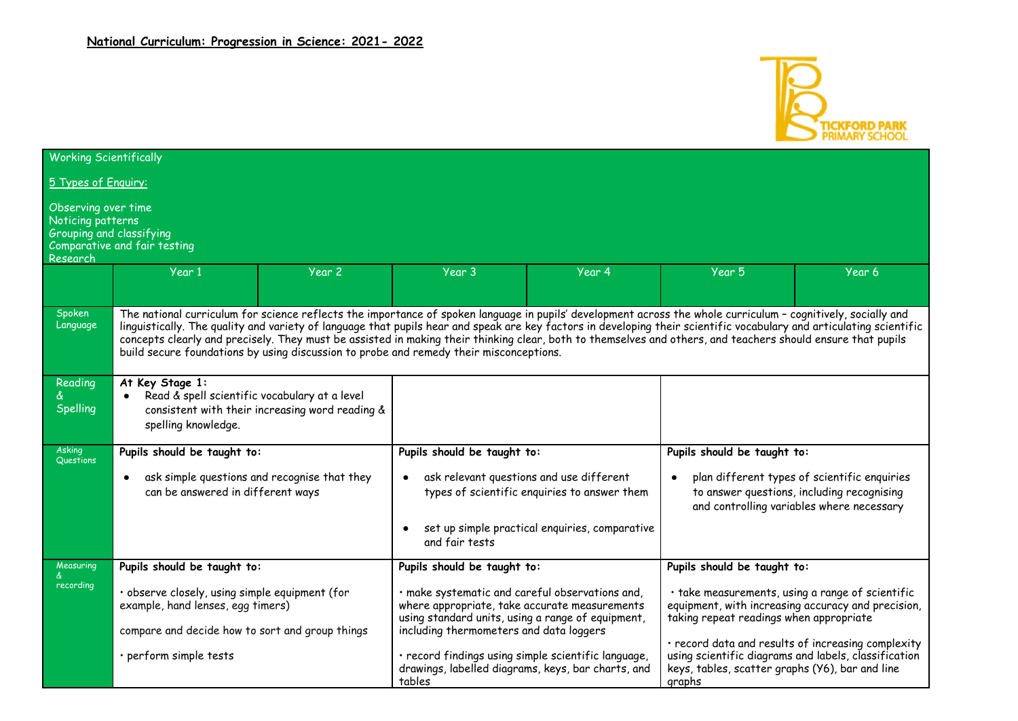

| <b>Working Scientifically</b>                                                           |                                                                                                                                                                                                                                                                                                                                                                                                                                                                                                                                                                                                |        |                                                                                                                                                                                                  |                                                    |                                                                                             |                                                                                                                                         |
|-----------------------------------------------------------------------------------------|------------------------------------------------------------------------------------------------------------------------------------------------------------------------------------------------------------------------------------------------------------------------------------------------------------------------------------------------------------------------------------------------------------------------------------------------------------------------------------------------------------------------------------------------------------------------------------------------|--------|--------------------------------------------------------------------------------------------------------------------------------------------------------------------------------------------------|----------------------------------------------------|---------------------------------------------------------------------------------------------|-----------------------------------------------------------------------------------------------------------------------------------------|
| 5 Types of Enguiry:                                                                     |                                                                                                                                                                                                                                                                                                                                                                                                                                                                                                                                                                                                |        |                                                                                                                                                                                                  |                                                    |                                                                                             |                                                                                                                                         |
| Observing over time<br>Noticing patterns<br><b>Grouping and classifying</b><br>Research | Comparative and fair testing                                                                                                                                                                                                                                                                                                                                                                                                                                                                                                                                                                   |        |                                                                                                                                                                                                  |                                                    |                                                                                             |                                                                                                                                         |
|                                                                                         | Year 1                                                                                                                                                                                                                                                                                                                                                                                                                                                                                                                                                                                         | Year 2 | Year 3                                                                                                                                                                                           | Year 4                                             | Year 5                                                                                      | Year 6                                                                                                                                  |
| Spoken<br>Language                                                                      | The national curriculum for science reflects the importance of spoken language in pupils' development across the whole curriculum - cognitively, socially and<br>linguistically. The quality and variety of language that pupils hear and speak are key factors in developing their scientific vocabulary and articulating scientific<br>concepts clearly and precisely. They must be assisted in making their thinking clear, both to themselves and others, and teachers should ensure that pupils<br>build secure foundations by using discussion to probe and remedy their misconceptions. |        |                                                                                                                                                                                                  |                                                    |                                                                                             |                                                                                                                                         |
| Reading<br><b>Spelling</b>                                                              | At Key Stage 1:<br>Read & spell scientific vocabulary at a level<br>consistent with their increasing word reading &<br>spelling knowledge.                                                                                                                                                                                                                                                                                                                                                                                                                                                     |        |                                                                                                                                                                                                  |                                                    |                                                                                             |                                                                                                                                         |
| Asking<br>Questions                                                                     | Pupils should be taught to:                                                                                                                                                                                                                                                                                                                                                                                                                                                                                                                                                                    |        | Pupils should be taught to:                                                                                                                                                                      |                                                    | Pupils should be taught to:                                                                 |                                                                                                                                         |
|                                                                                         | ask simple questions and recognise that they<br>$\bullet$<br>can be answered in different ways                                                                                                                                                                                                                                                                                                                                                                                                                                                                                                 |        | ask relevant questions and use different<br>types of scientific enquiries to answer them                                                                                                         |                                                    |                                                                                             | plan different types of scientific enquiries<br>to answer questions, including recognising<br>and controlling variables where necessary |
|                                                                                         |                                                                                                                                                                                                                                                                                                                                                                                                                                                                                                                                                                                                |        | and fair tests                                                                                                                                                                                   | set up simple practical enquiries, comparative     |                                                                                             |                                                                                                                                         |
| Measuring                                                                               | Pupils should be taught to:                                                                                                                                                                                                                                                                                                                                                                                                                                                                                                                                                                    |        | Pupils should be taught to:                                                                                                                                                                      |                                                    | Pupils should be taught to:                                                                 |                                                                                                                                         |
| recording                                                                               | · observe closely, using simple equipment (for<br>example, hand lenses, egg timers)<br>compare and decide how to sort and group things                                                                                                                                                                                                                                                                                                                                                                                                                                                         |        | · make systematic and careful observations and,<br>where appropriate, take accurate measurements<br>using standard units, using a range of equipment,<br>including thermometers and data loggers |                                                    | · take measurements, using a range of scientific<br>taking repeat readings when appropriate | equipment, with increasing accuracy and precision,                                                                                      |
|                                                                                         | · perform simple tests                                                                                                                                                                                                                                                                                                                                                                                                                                                                                                                                                                         |        | · record findings using simple scientific language,<br>tables                                                                                                                                    | drawings, labelled diagrams, keys, bar charts, and | keys, tables, scatter graphs (Y6), bar and line<br>graphs                                   | · record data and results of increasing complexity<br>using scientific diagrams and labels, classification                              |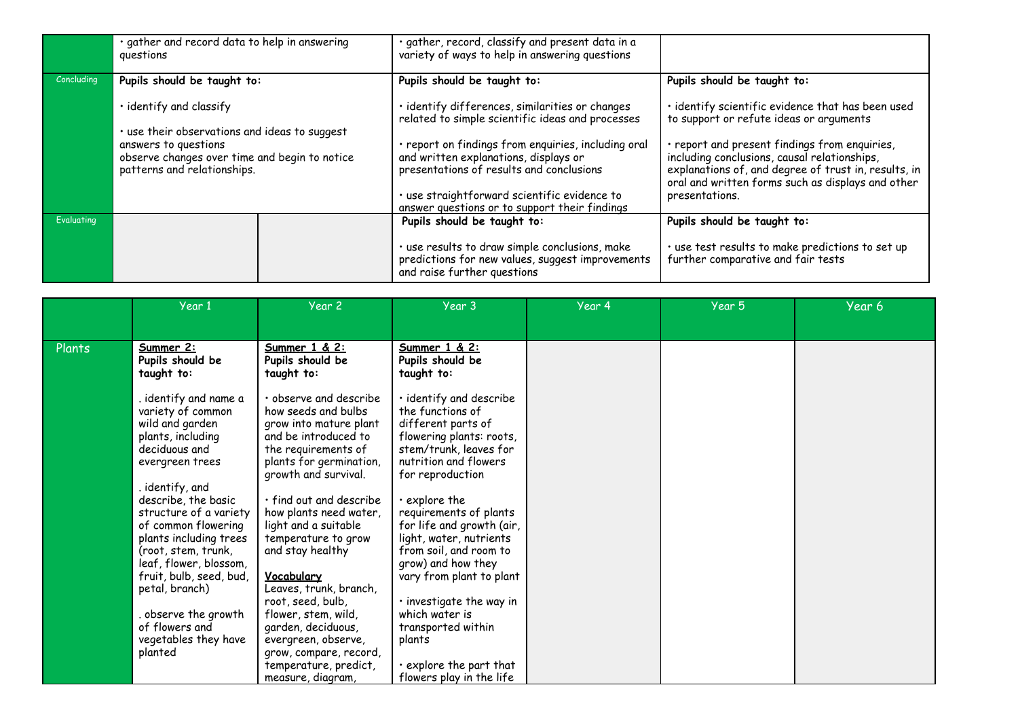|            | · gather and record data to help in answering<br>questions                                                                                            | · gather, record, classify and present data in a<br>variety of ways to help in answering questions                                     |                                                                                                                                                                                                            |
|------------|-------------------------------------------------------------------------------------------------------------------------------------------------------|----------------------------------------------------------------------------------------------------------------------------------------|------------------------------------------------------------------------------------------------------------------------------------------------------------------------------------------------------------|
| Concluding | Pupils should be taught to:                                                                                                                           | Pupils should be taught to:                                                                                                            | Pupils should be taught to:                                                                                                                                                                                |
|            | · identify and classify                                                                                                                               | · identify differences, similarities or changes<br>related to simple scientific ideas and processes                                    | · identify scientific evidence that has been used<br>to support or refute ideas or arguments                                                                                                               |
|            | . use their observations and ideas to suggest<br>answers to questions<br>observe changes over time and begin to notice<br>patterns and relationships. | report on findings from enquiries, including oral<br>and written explanations, displays or<br>presentations of results and conclusions | · report and present findings from enquiries,<br>including conclusions, causal relationships,<br>explanations of, and degree of trust in, results, in<br>oral and written forms such as displays and other |
|            |                                                                                                                                                       | · use straightforward scientific evidence to<br>answer questions or to support their findings                                          | presentations.                                                                                                                                                                                             |
| Evaluating |                                                                                                                                                       | Pupils should be taught to:                                                                                                            | Pupils should be taught to:                                                                                                                                                                                |
|            |                                                                                                                                                       | · use results to draw simple conclusions, make<br>predictions for new values, suggest improvements<br>and raise further questions      | · use test results to make predictions to set up<br>further comparative and fair tests                                                                                                                     |

|        | Year 1                                                                                                                                                                                                                                                                                                                                                                                                           | Year 2                                                                                                                                                                                                                                                                                                                                                                                                                                                                                | Year 3                                                                                                                                                                                                                                                                                                                                                                                                                                                   | Year 4 | Year 5 | Year 6 |
|--------|------------------------------------------------------------------------------------------------------------------------------------------------------------------------------------------------------------------------------------------------------------------------------------------------------------------------------------------------------------------------------------------------------------------|---------------------------------------------------------------------------------------------------------------------------------------------------------------------------------------------------------------------------------------------------------------------------------------------------------------------------------------------------------------------------------------------------------------------------------------------------------------------------------------|----------------------------------------------------------------------------------------------------------------------------------------------------------------------------------------------------------------------------------------------------------------------------------------------------------------------------------------------------------------------------------------------------------------------------------------------------------|--------|--------|--------|
|        |                                                                                                                                                                                                                                                                                                                                                                                                                  |                                                                                                                                                                                                                                                                                                                                                                                                                                                                                       |                                                                                                                                                                                                                                                                                                                                                                                                                                                          |        |        |        |
| Plants | Summer 2:<br>Pupils should be<br>taught to:                                                                                                                                                                                                                                                                                                                                                                      | Summer 1 & 2:<br>Pupils should be<br>taught to:                                                                                                                                                                                                                                                                                                                                                                                                                                       | Summer 1 & 2:<br>Pupils should be<br>taught to:                                                                                                                                                                                                                                                                                                                                                                                                          |        |        |        |
|        | identify and name a<br>variety of common<br>wild and garden<br>plants, including<br>deciduous and<br>evergreen trees<br>identify, and<br>describe, the basic<br>structure of a variety<br>of common flowering<br>plants including trees<br>(root, stem, trunk,<br>leaf, flower, blossom,<br>fruit, bulb, seed, bud,<br>petal, branch)<br>observe the growth<br>of flowers and<br>vegetables they have<br>planted | · observe and describe<br>how seeds and bulbs<br>grow into mature plant<br>and be introduced to<br>the requirements of<br>plants for germination,<br>growth and survival.<br>· find out and describe<br>how plants need water,<br>light and a suitable<br>temperature to grow<br>and stay healthy<br>Vocabulary<br>Leaves, trunk, branch,<br>root, seed, bulb,<br>flower, stem, wild,<br>garden, deciduous,<br>evergreen, observe,<br>grow, compare, record,<br>temperature, predict, | · identify and describe<br>the functions of<br>different parts of<br>flowering plants: roots,<br>stem/trunk, leaves for<br>nutrition and flowers<br>for reproduction<br>explore the<br>requirements of plants<br>for life and growth (air,<br>light, water, nutrients<br>from soil, and room to<br>grow) and how they<br>vary from plant to plant<br>· investigate the way in<br>which water is<br>transported within<br>plants<br>explore the part that |        |        |        |
|        |                                                                                                                                                                                                                                                                                                                                                                                                                  | measure, diagram,                                                                                                                                                                                                                                                                                                                                                                                                                                                                     | flowers play in the life                                                                                                                                                                                                                                                                                                                                                                                                                                 |        |        |        |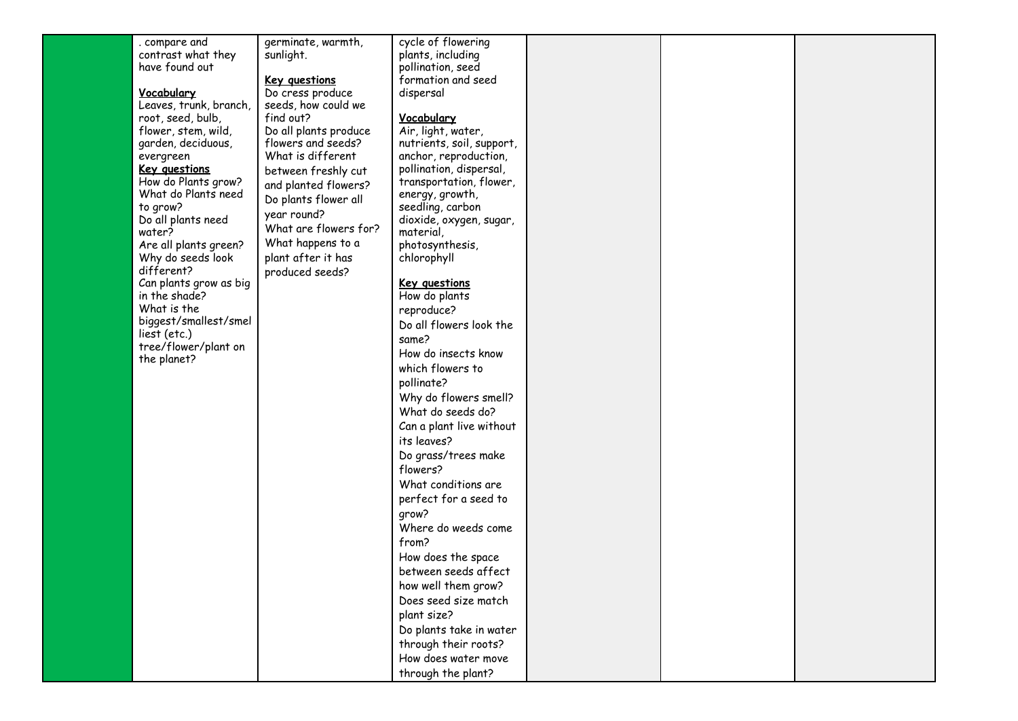| . compare and                              | germinate, warmth,                          | cycle of flowering                   |  |  |
|--------------------------------------------|---------------------------------------------|--------------------------------------|--|--|
| contrast what they                         | sunlight.                                   | plants, including                    |  |  |
| have found out                             |                                             | pollination, seed                    |  |  |
|                                            |                                             | formation and seed                   |  |  |
| Vocabulary                                 | <b>Key questions</b><br>Do cress produce    |                                      |  |  |
| Leaves, trunk, branch,                     | seeds, how could we                         | dispersal                            |  |  |
|                                            | find out?                                   |                                      |  |  |
| root, seed, bulb,                          |                                             | Vocabulary                           |  |  |
| flower, stem, wild,                        | Do all plants produce<br>flowers and seeds? | Air, light, water,                   |  |  |
| garden, deciduous,                         | What is different                           | nutrients, soil, support,            |  |  |
| evergreen                                  |                                             | anchor, reproduction,                |  |  |
| Key questions<br>How do Plants grow?       | between freshly cut                         | pollination, dispersal,              |  |  |
| What do Plants need                        | and planted flowers?                        | transportation, flower,              |  |  |
|                                            | Do plants flower all                        | energy, growth,                      |  |  |
| to grow?                                   | year round?                                 | seedling, carbon                     |  |  |
| Do all plants need<br>water?               | What are flowers for?                       | dioxide, oxygen, sugar,<br>material, |  |  |
|                                            | What happens to a                           |                                      |  |  |
| Are all plants green?<br>Why do seeds look | plant after it has                          | photosynthesis,<br>chlorophyll       |  |  |
| different?                                 |                                             |                                      |  |  |
| Can plants grow as big                     | produced seeds?                             | <b>Key questions</b>                 |  |  |
| in the shade?                              |                                             | How do plants                        |  |  |
| What is the                                |                                             | reproduce?                           |  |  |
| biggest/smallest/smel                      |                                             | Do all flowers look the              |  |  |
| liest (etc.)                               |                                             |                                      |  |  |
| tree/flower/plant on                       |                                             | same?                                |  |  |
| the planet?                                |                                             | How do insects know                  |  |  |
|                                            |                                             | which flowers to                     |  |  |
|                                            |                                             | pollinate?                           |  |  |
|                                            |                                             | Why do flowers smell?                |  |  |
|                                            |                                             | What do seeds do?                    |  |  |
|                                            |                                             | Can a plant live without             |  |  |
|                                            |                                             | its leaves?                          |  |  |
|                                            |                                             |                                      |  |  |
|                                            |                                             | Do grass/trees make                  |  |  |
|                                            |                                             | flowers?                             |  |  |
|                                            |                                             | What conditions are                  |  |  |
|                                            |                                             | perfect for a seed to                |  |  |
|                                            |                                             | qrow?                                |  |  |
|                                            |                                             | Where do weeds come                  |  |  |
|                                            |                                             | from?                                |  |  |
|                                            |                                             | How does the space                   |  |  |
|                                            |                                             | between seeds affect                 |  |  |
|                                            |                                             |                                      |  |  |
|                                            |                                             | how well them grow?                  |  |  |
|                                            |                                             | Does seed size match                 |  |  |
|                                            |                                             | plant size?                          |  |  |
|                                            |                                             | Do plants take in water              |  |  |
|                                            |                                             | through their roots?                 |  |  |
|                                            |                                             | How does water move                  |  |  |
|                                            |                                             | through the plant?                   |  |  |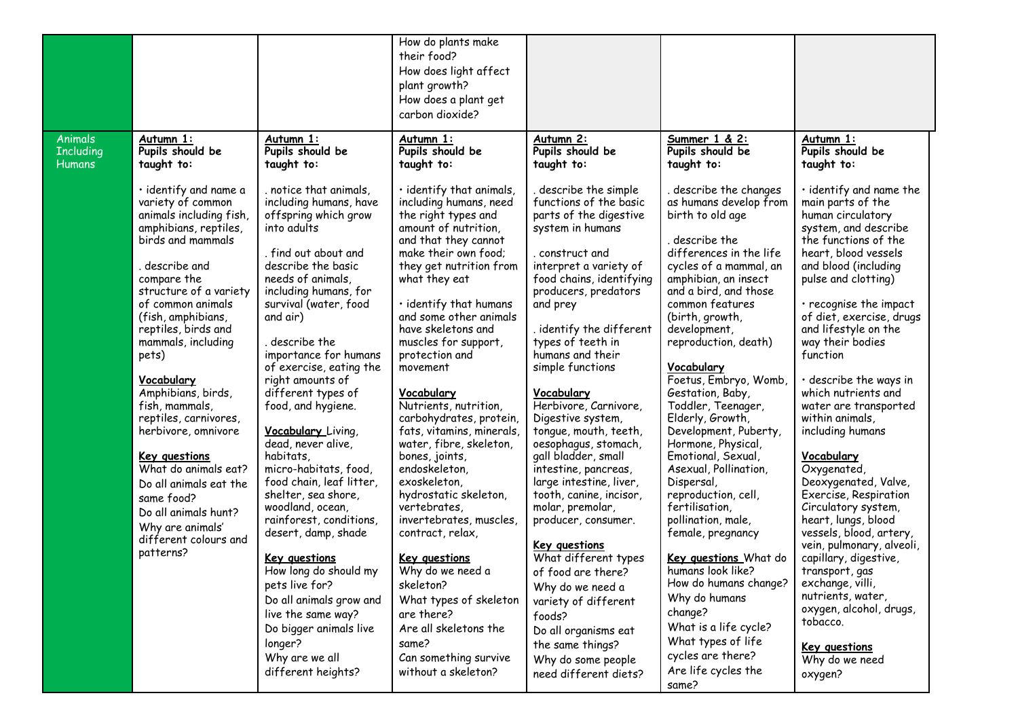|                                                     |                                                                                                                                                                                                                                                                                                                                                                                                                                                                                                                                                                     |                                                                                                                                                                                                                                                                                                                                                                                                                                                                                                                                                                                                                                                                                                                                                                            | How do plants make<br>their food?<br>How does light affect<br>plant growth?<br>How does a plant get<br>carbon dioxide?                                                                                                                                                                                                                                                                                                                                                                                                                                                                                                                                                                                                                                                                      |                                                                                                                                                                                                                                                                                                                                                                                                                                                                                                                                                                                                                                                                                                                                                                                |                                                                                                                                                                                                                                                                                                                                                                                                                                                                                                                                                                                                                                                                                                                                                                                      |                                                                                                                                                                                                                                                                                                                                                                                                                                                                                                                                                                                                                                                                                                                                                                                                   |
|-----------------------------------------------------|---------------------------------------------------------------------------------------------------------------------------------------------------------------------------------------------------------------------------------------------------------------------------------------------------------------------------------------------------------------------------------------------------------------------------------------------------------------------------------------------------------------------------------------------------------------------|----------------------------------------------------------------------------------------------------------------------------------------------------------------------------------------------------------------------------------------------------------------------------------------------------------------------------------------------------------------------------------------------------------------------------------------------------------------------------------------------------------------------------------------------------------------------------------------------------------------------------------------------------------------------------------------------------------------------------------------------------------------------------|---------------------------------------------------------------------------------------------------------------------------------------------------------------------------------------------------------------------------------------------------------------------------------------------------------------------------------------------------------------------------------------------------------------------------------------------------------------------------------------------------------------------------------------------------------------------------------------------------------------------------------------------------------------------------------------------------------------------------------------------------------------------------------------------|--------------------------------------------------------------------------------------------------------------------------------------------------------------------------------------------------------------------------------------------------------------------------------------------------------------------------------------------------------------------------------------------------------------------------------------------------------------------------------------------------------------------------------------------------------------------------------------------------------------------------------------------------------------------------------------------------------------------------------------------------------------------------------|--------------------------------------------------------------------------------------------------------------------------------------------------------------------------------------------------------------------------------------------------------------------------------------------------------------------------------------------------------------------------------------------------------------------------------------------------------------------------------------------------------------------------------------------------------------------------------------------------------------------------------------------------------------------------------------------------------------------------------------------------------------------------------------|---------------------------------------------------------------------------------------------------------------------------------------------------------------------------------------------------------------------------------------------------------------------------------------------------------------------------------------------------------------------------------------------------------------------------------------------------------------------------------------------------------------------------------------------------------------------------------------------------------------------------------------------------------------------------------------------------------------------------------------------------------------------------------------------------|
| <b>Animals</b><br><b>Including</b><br><b>Humans</b> | Autumn 1:<br>Pupils should be<br>taught to:                                                                                                                                                                                                                                                                                                                                                                                                                                                                                                                         | Autumn 1:<br>Pupils should be<br>taught to:                                                                                                                                                                                                                                                                                                                                                                                                                                                                                                                                                                                                                                                                                                                                | Autumn 1:<br>Pupils should be<br>taught to:                                                                                                                                                                                                                                                                                                                                                                                                                                                                                                                                                                                                                                                                                                                                                 | Autumn 2:<br>Pupils should be<br>taught to:                                                                                                                                                                                                                                                                                                                                                                                                                                                                                                                                                                                                                                                                                                                                    | Summer 1 & 2:<br>Pupils should be<br>taught to:                                                                                                                                                                                                                                                                                                                                                                                                                                                                                                                                                                                                                                                                                                                                      | Autumn 1:<br>Pupils should be<br>taught to:                                                                                                                                                                                                                                                                                                                                                                                                                                                                                                                                                                                                                                                                                                                                                       |
|                                                     | $\cdot$ identify and name a<br>variety of common<br>animals including fish,<br>amphibians, reptiles,<br>birds and mammals<br>describe and<br>compare the<br>structure of a variety<br>of common animals<br>(fish, amphibians,<br>reptiles, birds and<br>mammals, including<br>pets)<br><u>Vocabulary</u><br>Amphibians, birds,<br>fish, mammals,<br>reptiles, carnivores,<br>herbivore, omnivore<br>Key questions<br>What do animals eat?<br>Do all animals eat the<br>same food?<br>Do all animals hunt?<br>Why are animals'<br>different colours and<br>patterns? | . notice that animals,<br>including humans, have<br>offspring which grow<br>into adults<br>. find out about and<br>describe the basic<br>needs of animals,<br>including humans, for<br>survival (water, food<br>and air)<br>, describe the<br>importance for humans<br>of exercise, eating the<br>right amounts of<br>different types of<br>food, and hygiene.<br>Vocabulary Living,<br>dead, never alive,<br>habitats,<br>micro-habitats, food,<br>food chain, leaf litter,<br>shelter, sea shore,<br>woodland, ocean,<br>rainforest, conditions,<br>desert, damp, shade<br><u>Key questions</u><br>How long do should my<br>pets live for?<br>Do all animals grow and<br>live the same way?<br>Do bigger animals live<br>longer?<br>Why are we all<br>different heights? | · identify that animals,<br>including humans, need<br>the right types and<br>amount of nutrition,<br>and that they cannot<br>make their own food;<br>they get nutrition from<br>what they eat<br>$\cdot$ identify that humans<br>and some other animals<br>have skeletons and<br>muscles for support,<br>protection and<br>movement<br>Vocabulary<br>Nutrients, nutrition,<br>carbohydrates, protein,<br>fats, vitamins, minerals,<br>water, fibre, skeleton,<br>bones, joints,<br>endoskeleton,<br>exoskeleton,<br>hydrostatic skeleton,<br>vertebrates,<br>invertebrates, muscles,<br>contract, relax,<br><b>Key questions</b><br>Why do we need a<br>skeleton?<br>What types of skeleton<br>are there?<br>Are all skeletons the<br>same?<br>Can something survive<br>without a skeleton? | describe the simple<br>functions of the basic<br>parts of the digestive<br>system in humans<br>. construct and<br>interpret a variety of<br>food chains, identifying<br>producers, predators<br>and prey<br>. identify the different<br>types of teeth in<br>humans and their<br>simple functions<br>Vocabulary<br>Herbivore, Carnivore,<br>Digestive system,<br>tongue, mouth, teeth,<br>oesophagus, stomach,<br>gall bladder, small<br>intestine, pancreas,<br>large intestine, liver,<br>tooth, canine, incisor,<br>molar, premolar,<br>producer, consumer.<br>Key questions<br>What different types<br>of food are there?<br>Why do we need a<br>variety of different<br>foods?<br>Do all organisms eat<br>the same things?<br>Why do some people<br>need different diets? | describe the changes<br>as humans develop from<br>birth to old age<br>, describe the<br>differences in the life<br>cycles of a mammal, an<br>amphibian, an insect<br>and a bird, and those<br>common features<br>(birth, growth,<br>development,<br>reproduction, death)<br>Vocabulary<br>Foetus, Embryo, Womb,<br>Gestation, Baby,<br>Toddler, Teenager,<br>Elderly, Growth,<br>Development, Puberty,<br>Hormone, Physical,<br>Emotional, Sexual,<br>Asexual, Pollination,<br>Dispersal,<br>reproduction, cell,<br>fertilisation,<br>pollination, male,<br>female, pregnancy<br>Key questions What do<br>humans look like?<br>How do humans change?<br>Why do humans<br>change?<br>What is a life cycle?<br>What types of life<br>cycles are there?<br>Are life cycles the<br>same? | $\cdot$ identify and name the<br>main parts of the<br>human circulatory<br>system, and describe<br>the functions of the<br>heart, blood vessels<br>and blood (including<br>pulse and clotting)<br>· recognise the impact<br>of diet, exercise, drugs<br>and lifestyle on the<br>way their bodies<br>function<br>· describe the ways in<br>which nutrients and<br>water are transported<br>within animals,<br>including humans<br>Vocabulary<br>Oxygenated,<br>Deoxygenated, Valve,<br>Exercise, Respiration<br>Circulatory system,<br>heart, lungs, blood<br>vessels, blood, artery,<br>vein, pulmonary, alveoli,<br>capillary, digestive,<br>transport, gas<br>exchange, villi,<br>nutrients, water,<br>oxygen, alcohol, drugs,<br>tobacco.<br><b>Key questions</b><br>Why do we need<br>oxygen? |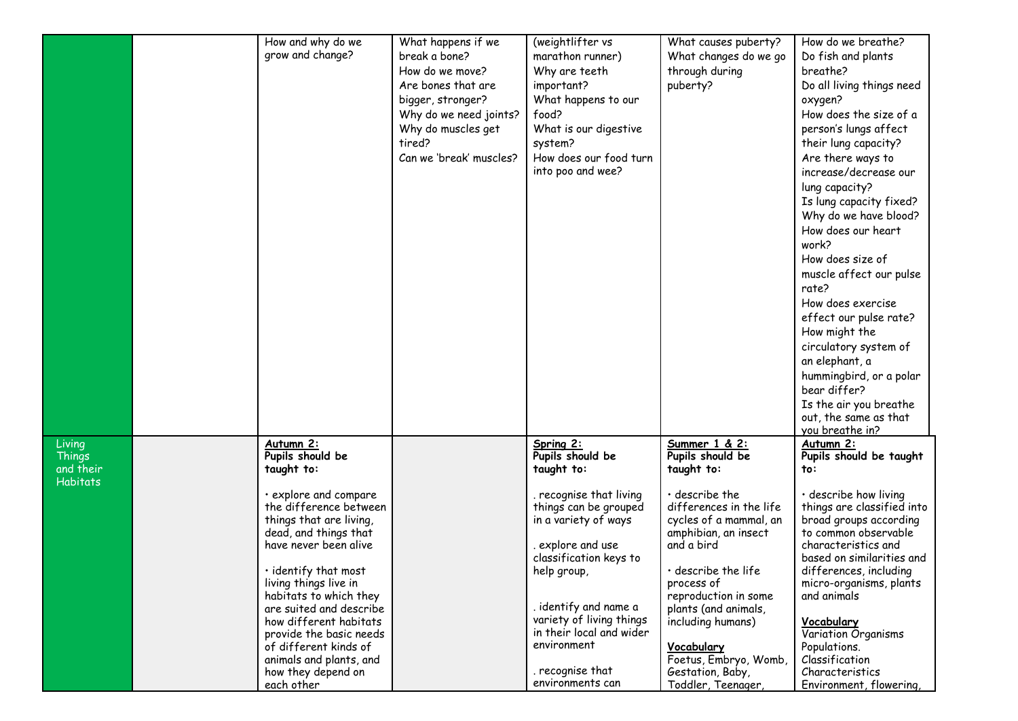|                  | How and why do we             | What happens if we           | (weightlifter vs                            | What causes puberty?              | How do we breathe?                                  |
|------------------|-------------------------------|------------------------------|---------------------------------------------|-----------------------------------|-----------------------------------------------------|
|                  | grow and change?              | break a bone?                | marathon runner)                            | What changes do we go             | Do fish and plants                                  |
|                  |                               | How do we move?              | Why are teeth                               | through during                    | breathe?                                            |
|                  |                               | Are bones that are           | important?                                  | puberty?                          | Do all living things need                           |
|                  |                               | bigger, stronger?            | What happens to our                         |                                   | oxygen?                                             |
|                  |                               | Why do we need joints?       | food?                                       |                                   | How does the size of a                              |
|                  |                               |                              |                                             |                                   |                                                     |
|                  |                               | Why do muscles get<br>tired? | What is our digestive                       |                                   | person's lungs affect                               |
|                  |                               |                              | system?                                     |                                   | their lung capacity?                                |
|                  |                               | Can we 'break' muscles?      | How does our food turn<br>into poo and wee? |                                   | Are there ways to                                   |
|                  |                               |                              |                                             |                                   | increase/decrease our                               |
|                  |                               |                              |                                             |                                   | lung capacity?                                      |
|                  |                               |                              |                                             |                                   | Is lung capacity fixed?                             |
|                  |                               |                              |                                             |                                   | Why do we have blood?                               |
|                  |                               |                              |                                             |                                   | How does our heart                                  |
|                  |                               |                              |                                             |                                   | work?                                               |
|                  |                               |                              |                                             |                                   | How does size of                                    |
|                  |                               |                              |                                             |                                   | muscle affect our pulse                             |
|                  |                               |                              |                                             |                                   | rate?                                               |
|                  |                               |                              |                                             |                                   | How does exercise                                   |
|                  |                               |                              |                                             |                                   | effect our pulse rate?                              |
|                  |                               |                              |                                             |                                   | How might the                                       |
|                  |                               |                              |                                             |                                   | circulatory system of                               |
|                  |                               |                              |                                             |                                   | an elephant, a                                      |
|                  |                               |                              |                                             |                                   | hummingbird, or a polar                             |
|                  |                               |                              |                                             |                                   | bear differ?                                        |
|                  |                               |                              |                                             |                                   | Is the air you breathe                              |
|                  |                               |                              |                                             |                                   | out, the same as that                               |
|                  |                               |                              |                                             |                                   | you breathe in?                                     |
| Living<br>Things | Autumn 2:<br>Pupils should be |                              | Spring 2:<br>Pupils should be               | Summer 1 & 2:<br>Pupils should be | Autumn 2:                                           |
| and their        | taught to:                    |                              | taught to:                                  | taught to:                        | Pupils should be taught<br>to:                      |
| Habitats         |                               |                              |                                             |                                   |                                                     |
|                  | · explore and compare         |                              | recognise that living                       | $\cdot$ describe the              | · describe how living                               |
|                  | the difference between        |                              | things can be grouped                       | differences in the life           | things are classified into                          |
|                  | things that are living,       |                              | in a variety of ways                        | cycles of a mammal, an            | broad groups according                              |
|                  | dead, and things that         |                              |                                             | amphibian, an insect              | to common observable                                |
|                  | have never been alive         |                              | explore and use .                           | and a bird                        | characteristics and                                 |
|                  | $\cdot$ identify that most    |                              | classification keys to                      | $\cdot$ describe the life         | based on similarities and<br>differences, including |
|                  | living things live in         |                              | help group,                                 | process of                        | micro-organisms, plants                             |
|                  | habitats to which they        |                              |                                             | reproduction in some              | and animals                                         |
|                  | are suited and describe       |                              | . identify and name a                       | plants (and animals,              |                                                     |
|                  | how different habitats        |                              | variety of living things                    | including humans)                 | <b>Vocabulary</b>                                   |
|                  | provide the basic needs       |                              | in their local and wider                    |                                   | Variation Organisms                                 |
|                  | of different kinds of         |                              | environment                                 | Vocabulary                        | Populations.                                        |
|                  | animals and plants, and       |                              |                                             | Foetus, Embryo, Womb,             | Classification                                      |
|                  | how they depend on            |                              | . recognise that                            | Gestation, Baby,                  | Characteristics                                     |
|                  | each other                    |                              | environments can                            | Toddler, Teenager,                | Environment, flowering,                             |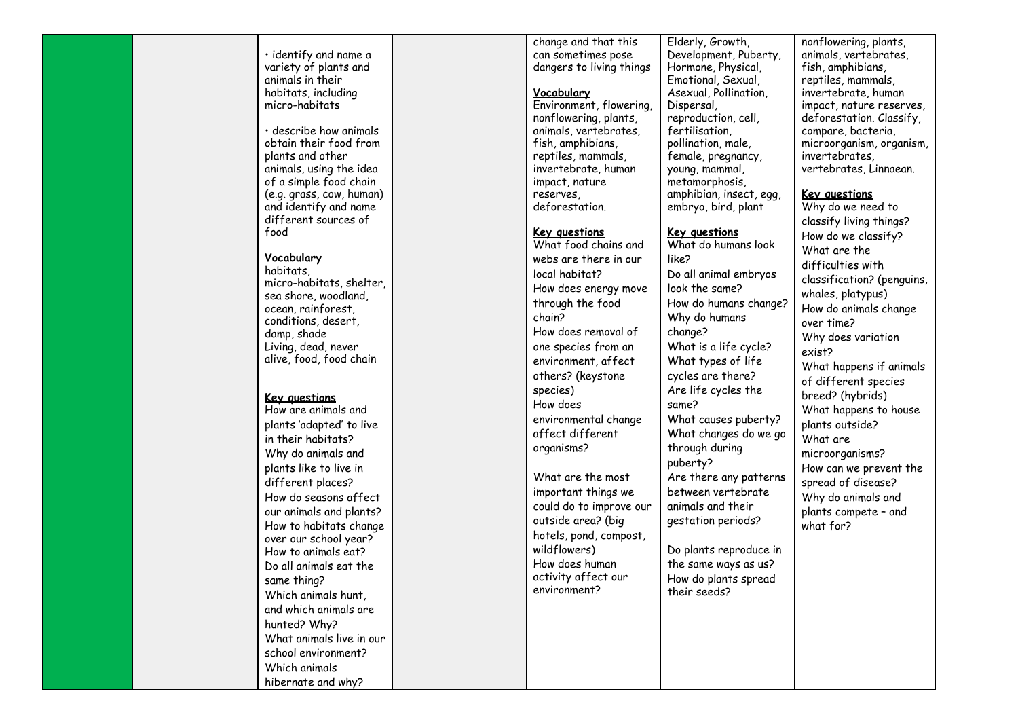|                                                  | change and that this                    | Elderly, Growth,                         |
|--------------------------------------------------|-----------------------------------------|------------------------------------------|
| $\cdot$ identify and name a                      | can sometimes pose                      | Development, Puberty,                    |
| variety of plants and                            | dangers to living things                | Hormone, Physical,                       |
| animals in their                                 |                                         | Emotional, Sexual,                       |
| habitats, including                              | Vocabulary                              | Asexual, Pollination,                    |
| micro-habitats                                   | Environment, flowering,                 | Dispersal,                               |
|                                                  | nonflowering, plants,                   | reproduction, cell,                      |
| · describe how animals<br>obtain their food from | animals, vertebrates,                   | fertilisation,                           |
| plants and other                                 | fish, amphibians,<br>reptiles, mammals, | pollination, male,<br>female, pregnancy, |
| animals, using the idea                          | invertebrate, human                     | young, mammal,                           |
| of a simple food chain                           | impact, nature                          | metamorphosis,                           |
| (e.g. grass, cow, human)                         | reserves.                               | amphibian, insect, egg,                  |
| and identify and name                            | deforestation.                          | embryo, bird, plant                      |
| different sources of                             |                                         |                                          |
| food                                             | <u>Key questions</u>                    | <u>Key questions</u>                     |
|                                                  | What food chains and                    | What do humans look                      |
| <u>Vocabulary</u>                                | webs are there in our                   | like?                                    |
| habitats,                                        | local habitat?                          | Do all animal embryos                    |
| micro-habitats, shelter,                         | How does energy move                    | look the same?                           |
| sea shore, woodland,                             | through the food                        | How do humans change?                    |
| ocean, rainforest,                               | chain?                                  | Why do humans                            |
| conditions, desert,                              | How does removal of                     | change?                                  |
| damp, shade<br>Living, dead, never               | one species from an                     | What is a life cycle?                    |
| alive, food, food chain                          | environment, affect                     | What types of life                       |
|                                                  |                                         |                                          |
|                                                  | others? (keystone                       | cycles are there?                        |
| <u>Key questions</u>                             | species)                                | Are life cycles the                      |
| How are animals and                              | How does                                | same?                                    |
| plants 'adapted' to live                         | environmental change                    | What causes puberty?                     |
| in their habitats?                               | affect different                        | What changes do we go                    |
| Why do animals and                               | organisms?                              | through during                           |
| plants like to live in                           |                                         | puberty?                                 |
| different places?                                | What are the most                       | Are there any patterns                   |
| How do seasons affect                            | important things we                     | between vertebrate                       |
| our animals and plants?                          | could do to improve our                 | animals and their                        |
| How to habitats change                           | outside area? (big                      | gestation periods?                       |
| over our school year?                            | hotels, pond, compost,                  |                                          |
| How to animals eat?                              | wildflowers)                            | Do plants reproduce in                   |
| Do all animals eat the                           | How does human                          | the same ways as us?                     |
| same thing?                                      | activity affect our                     | How do plants spread                     |
| Which animals hunt,                              | environment?                            | their seeds?                             |
| and which animals are                            |                                         |                                          |
| hunted? Why?                                     |                                         |                                          |
| What animals live in our                         |                                         |                                          |
|                                                  |                                         |                                          |
| school environment?                              |                                         |                                          |
| Which animals                                    |                                         |                                          |
| hibernate and why?                               |                                         |                                          |

nonflowering, plants, animals, vertebrates, fish, amphibians, reptiles, mammals, invertebrate, human impact, nature reserves, deforestation. Classify, compare, bacteria, microorganism, organism, invertebrates, vertebrates, Linnaean.

## **Key questions**

Why do we need to classify living things? How do we classify? What are the difficulties with classification? (penguins, whales, platypus) How do animals change over time? Why does variation exist? What happens if animals of different species breed? (hybrids) What happens to house plants outside? What are microorganisms? How can we prevent the spread of disease? Why do animals and plants compete – and what for?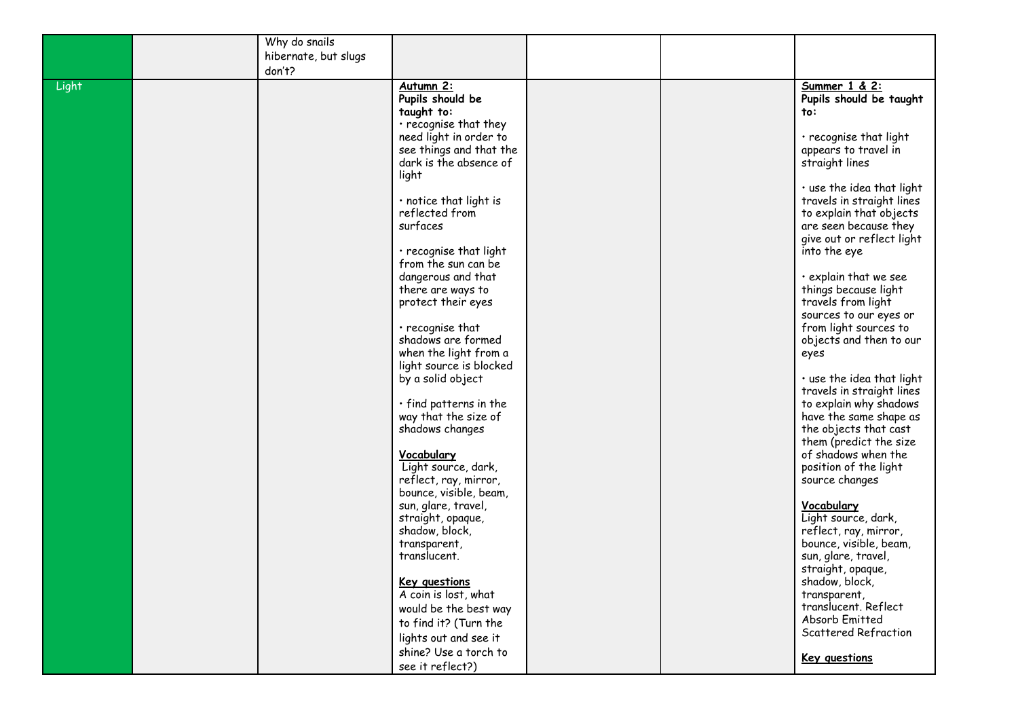|       | Why do snails        |                              |  |                           |
|-------|----------------------|------------------------------|--|---------------------------|
|       | hibernate, but slugs |                              |  |                           |
|       | don't?               |                              |  |                           |
| Light |                      | Autumn <sub>2:</sub>         |  | Summer 1 & 2:             |
|       |                      | Pupils should be             |  | Pupils should be taught   |
|       |                      | taught to:                   |  | to:                       |
|       |                      | · recognise that they        |  |                           |
|       |                      | need light in order to       |  | · recognise that light    |
|       |                      | see things and that the      |  | appears to travel in      |
|       |                      | dark is the absence of       |  | straight lines            |
|       |                      | light                        |  |                           |
|       |                      |                              |  | . use the idea that light |
|       |                      | $\cdot$ notice that light is |  | travels in straight lines |
|       |                      | reflected from               |  | to explain that objects   |
|       |                      | surfaces                     |  | are seen because they     |
|       |                      |                              |  | give out or reflect light |
|       |                      | · recognise that light       |  | into the eye              |
|       |                      | from the sun can be          |  |                           |
|       |                      | dangerous and that           |  | · explain that we see     |
|       |                      | there are ways to            |  | things because light      |
|       |                      | protect their eyes           |  | travels from light        |
|       |                      |                              |  | sources to our eyes or    |
|       |                      | $\cdot$ recognise that       |  | from light sources to     |
|       |                      | shadows are formed           |  | objects and then to our   |
|       |                      | when the light from a        |  | eyes                      |
|       |                      | light source is blocked      |  |                           |
|       |                      | by a solid object            |  | · use the idea that light |
|       |                      |                              |  | travels in straight lines |
|       |                      | $\cdot$ find patterns in the |  | to explain why shadows    |
|       |                      | way that the size of         |  | have the same shape as    |
|       |                      | shadows changes              |  | the objects that cast     |
|       |                      |                              |  | them (predict the size    |
|       |                      | Vocabulary                   |  | of shadows when the       |
|       |                      | Light source, dark,          |  | position of the light     |
|       |                      | reflect, ray, mirror,        |  | source changes            |
|       |                      | bounce, visible, beam,       |  |                           |
|       |                      | sun, glare, travel,          |  | Vocabulary                |
|       |                      | straight, opaque,            |  | Light source, dark,       |
|       |                      | shadow, block,               |  | reflect, ray, mirror,     |
|       |                      | transparent,                 |  | bounce, visible, beam,    |
|       |                      | translucent.                 |  | sun, glare, travel,       |
|       |                      |                              |  | straight, opaque,         |
|       |                      | <b>Key questions</b>         |  | shadow, block,            |
|       |                      | A coin is lost, what         |  | transparent,              |
|       |                      | would be the best way        |  | translucent. Reflect      |
|       |                      | to find it? (Turn the        |  | Absorb Emitted            |
|       |                      | lights out and see it        |  | Scattered Refraction      |
|       |                      | shine? Use a torch to        |  |                           |
|       |                      |                              |  | <b>Key questions</b>      |
|       |                      | see it reflect?)             |  |                           |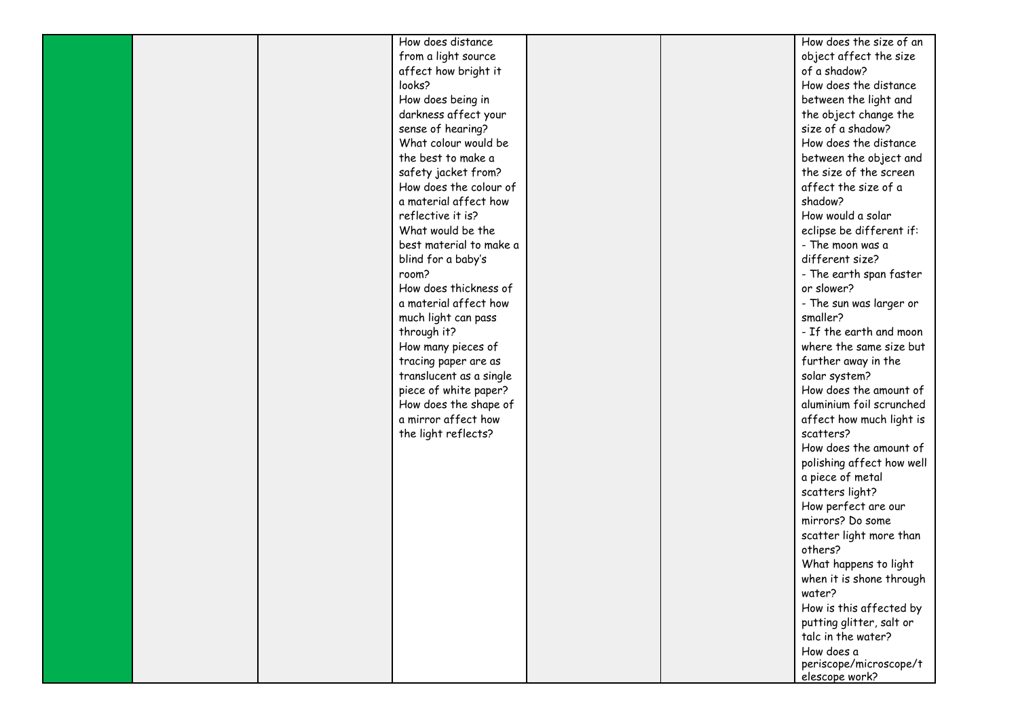|  | How does distance       |  | How does the size of an   |
|--|-------------------------|--|---------------------------|
|  | from a light source     |  | object affect the size    |
|  | affect how bright it    |  | of a shadow?              |
|  | looks?                  |  | How does the distance     |
|  | How does being in       |  | between the light and     |
|  | darkness affect your    |  | the object change the     |
|  | sense of hearing?       |  | size of a shadow?         |
|  | What colour would be    |  | How does the distance     |
|  | the best to make a      |  | between the object and    |
|  | safety jacket from?     |  | the size of the screen    |
|  | How does the colour of  |  | affect the size of a      |
|  | a material affect how   |  | shadow?                   |
|  | reflective it is?       |  | How would a solar         |
|  | What would be the       |  | eclipse be different if:  |
|  | best material to make a |  | - The moon was a          |
|  | blind for a baby's      |  | different size?           |
|  | room?                   |  | - The earth span faster   |
|  | How does thickness of   |  | or slower?                |
|  | a material affect how   |  | - The sun was larger or   |
|  | much light can pass     |  | smaller?                  |
|  | through it?             |  | - If the earth and moon   |
|  | How many pieces of      |  | where the same size but   |
|  | tracing paper are as    |  | further away in the       |
|  | translucent as a single |  | solar system?             |
|  | piece of white paper?   |  | How does the amount of    |
|  | How does the shape of   |  | aluminium foil scrunched  |
|  | a mirror affect how     |  | affect how much light is  |
|  | the light reflects?     |  | scatters?                 |
|  |                         |  | How does the amount of    |
|  |                         |  | polishing affect how well |
|  |                         |  | a piece of metal          |
|  |                         |  | scatters light?           |
|  |                         |  | How perfect are our       |
|  |                         |  | mirrors? Do some          |
|  |                         |  | scatter light more than   |
|  |                         |  | others?                   |
|  |                         |  | What happens to light     |
|  |                         |  | when it is shone through  |
|  |                         |  | water?                    |
|  |                         |  | How is this affected by   |
|  |                         |  | putting glitter, salt or  |
|  |                         |  | talc in the water?        |
|  |                         |  | How does a                |
|  |                         |  | periscope/microscope/t    |
|  |                         |  | elescope work?            |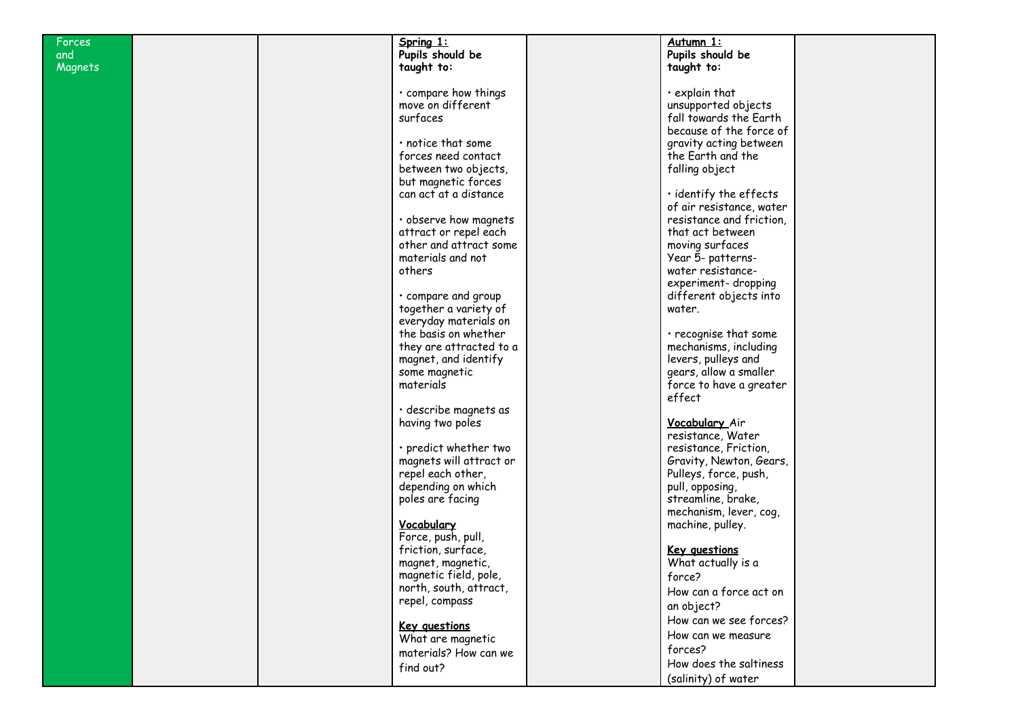| Forces         | Spring 1:               | Autumn 1:                    |  |
|----------------|-------------------------|------------------------------|--|
| and            | Pupils should be        | Pupils should be             |  |
| <b>Magnets</b> | taught to:              | taught to:                   |  |
|                |                         |                              |  |
|                |                         | $\cdot$ explain that         |  |
|                | · compare how things    |                              |  |
|                | move on different       | unsupported objects          |  |
|                | surfaces                | fall towards the Earth       |  |
|                |                         | because of the force of      |  |
|                | · notice that some      | gravity acting between       |  |
|                | forces need contact     | the Earth and the            |  |
|                | between two objects,    | falling object               |  |
|                |                         |                              |  |
|                | but magnetic forces     |                              |  |
|                | can act at a distance   | $\cdot$ identify the effects |  |
|                |                         | of air resistance, water     |  |
|                | · observe how magnets   | resistance and friction,     |  |
|                | attract or repel each   | that act between             |  |
|                | other and attract some  | moving surfaces              |  |
|                | materials and not       |                              |  |
|                |                         | Year 5- patterns-            |  |
|                | others                  | water resistance-            |  |
|                |                         | experiment-dropping          |  |
|                | · compare and group     | different objects into       |  |
|                | together a variety of   | water.                       |  |
|                | everyday materials on   |                              |  |
|                | the basis on whether    | · recognise that some        |  |
|                | they are attracted to a | mechanisms, including        |  |
|                |                         |                              |  |
|                | magnet, and identify    | levers, pulleys and          |  |
|                | some magnetic           | gears, allow a smaller       |  |
|                | materials               | force to have a greater      |  |
|                |                         | effect                       |  |
|                | · describe magnets as   |                              |  |
|                | having two poles        | Vocabulary Air               |  |
|                |                         | resistance, Water            |  |
|                | · predict whether two   |                              |  |
|                |                         | resistance, Friction,        |  |
|                | magnets will attract or | Gravity, Newton, Gears,      |  |
|                | repel each other,       | Pulleys, force, push,        |  |
|                | depending on which      | pull, opposing,              |  |
|                | poles are facing        | streamline, brake,           |  |
|                |                         | mechanism, lever, cog,       |  |
|                | Vocabulary              | machine, pulley.             |  |
|                | Force, push, pull,      |                              |  |
|                |                         |                              |  |
|                | friction, surface,      | <b>Key questions</b>         |  |
|                | magnet, magnetic,       | What actually is a           |  |
|                | magnetic field, pole,   | force?                       |  |
|                | north, south, attract,  | How can a force act on       |  |
|                | repel, compass          |                              |  |
|                |                         | an object?                   |  |
|                | <b>Key questions</b>    | How can we see forces?       |  |
|                | What are magnetic       | How can we measure           |  |
|                |                         | forces?                      |  |
|                | materials? How can we   |                              |  |
|                | find out?               | How does the saltiness       |  |
|                |                         | (salinity) of water          |  |
|                |                         |                              |  |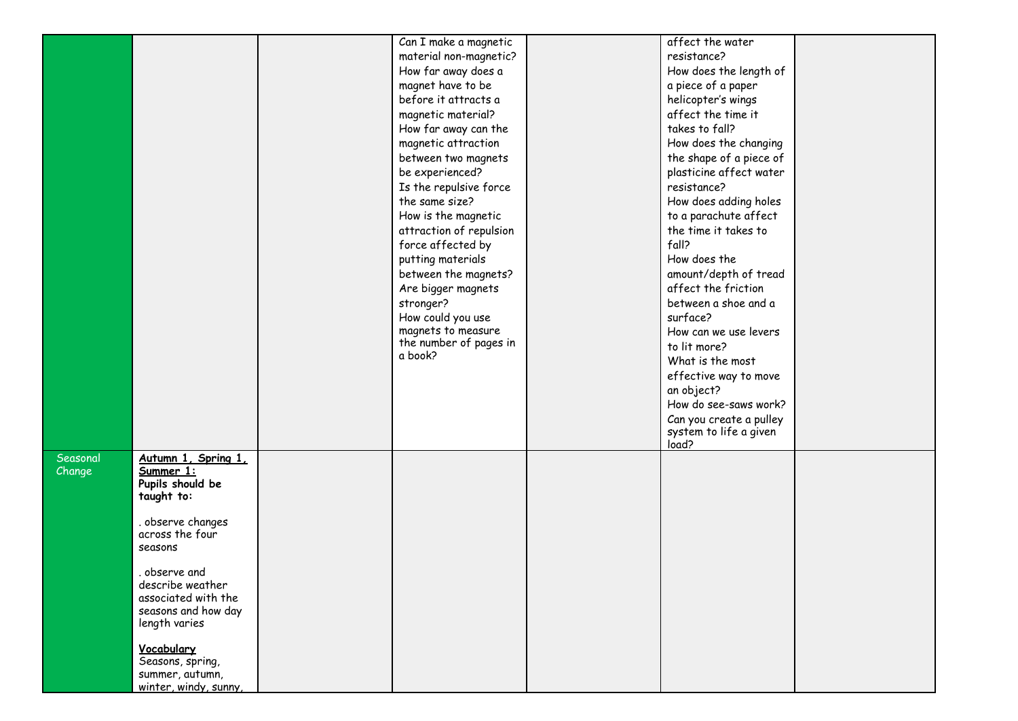|          |                                      | Can I make a magnetic             | affect the water                |  |
|----------|--------------------------------------|-----------------------------------|---------------------------------|--|
|          |                                      | material non-magnetic?            | resistance?                     |  |
|          |                                      | How far away does a               | How does the length of          |  |
|          |                                      | magnet have to be                 | a piece of a paper              |  |
|          |                                      | before it attracts a              | helicopter's wings              |  |
|          |                                      | magnetic material?                | affect the time it              |  |
|          |                                      | How far away can the              | takes to fall?                  |  |
|          |                                      | magnetic attraction               | How does the changing           |  |
|          |                                      | between two magnets               | the shape of a piece of         |  |
|          |                                      | be experienced?                   | plasticine affect water         |  |
|          |                                      | Is the repulsive force            | resistance?                     |  |
|          |                                      | the same size?                    | How does adding holes           |  |
|          |                                      | How is the magnetic               | to a parachute affect           |  |
|          |                                      | attraction of repulsion           | the time it takes to            |  |
|          |                                      | force affected by                 | fall?                           |  |
|          |                                      | putting materials                 | How does the                    |  |
|          |                                      | between the magnets?              | amount/depth of tread           |  |
|          |                                      | Are bigger magnets                | affect the friction             |  |
|          |                                      | stronger?                         | between a shoe and a            |  |
|          |                                      | How could you use                 | surface?                        |  |
|          |                                      | magnets to measure                | How can we use levers           |  |
|          |                                      | the number of pages in<br>a book? | to lit more?                    |  |
|          |                                      |                                   | What is the most                |  |
|          |                                      |                                   | effective way to move           |  |
|          |                                      |                                   | an object?                      |  |
|          |                                      |                                   | How do see-saws work?           |  |
|          |                                      |                                   | Can you create a pulley         |  |
|          |                                      |                                   | system to life a given<br>load? |  |
| Seasonal | Autumn 1, Spring 1,                  |                                   |                                 |  |
| Change   | Summer 1:                            |                                   |                                 |  |
|          | Pupils should be                     |                                   |                                 |  |
|          | taught to:                           |                                   |                                 |  |
|          |                                      |                                   |                                 |  |
|          | . observe changes<br>across the four |                                   |                                 |  |
|          | seasons                              |                                   |                                 |  |
|          |                                      |                                   |                                 |  |
|          | observe and                          |                                   |                                 |  |
|          | describe weather                     |                                   |                                 |  |
|          | associated with the                  |                                   |                                 |  |
|          | seasons and how day<br>length varies |                                   |                                 |  |
|          |                                      |                                   |                                 |  |
|          | Vocabulary                           |                                   |                                 |  |
|          | Seasons, spring,                     |                                   |                                 |  |
|          | summer, autumn,                      |                                   |                                 |  |
|          | winter, windy, sunny,                |                                   |                                 |  |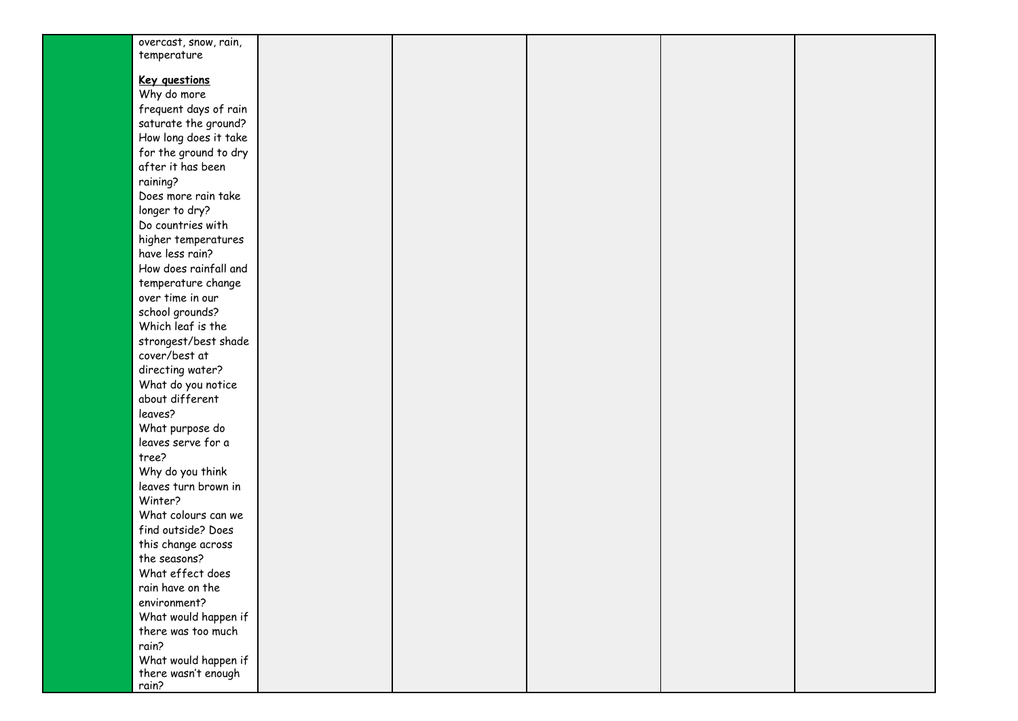| overcast, snow, rain, |  |  |  |
|-----------------------|--|--|--|
| temperature           |  |  |  |
|                       |  |  |  |
| <b>Key questions</b>  |  |  |  |
| Why do more           |  |  |  |
| frequent days of rain |  |  |  |
| saturate the ground?  |  |  |  |
| How long does it take |  |  |  |
| for the ground to dry |  |  |  |
| after it has been     |  |  |  |
|                       |  |  |  |
| raining?              |  |  |  |
| Does more rain take   |  |  |  |
| longer to dry?        |  |  |  |
| Do countries with     |  |  |  |
| higher temperatures   |  |  |  |
| have less rain?       |  |  |  |
| How does rainfall and |  |  |  |
| temperature change    |  |  |  |
| over time in our      |  |  |  |
| school grounds?       |  |  |  |
| Which leaf is the     |  |  |  |
| strongest/best shade  |  |  |  |
| cover/best at         |  |  |  |
| directing water?      |  |  |  |
| What do you notice    |  |  |  |
| about different       |  |  |  |
| leaves?               |  |  |  |
| What purpose do       |  |  |  |
| leaves serve for a    |  |  |  |
|                       |  |  |  |
| tree?                 |  |  |  |
| Why do you think      |  |  |  |
| leaves turn brown in  |  |  |  |
| Winter?               |  |  |  |
| What colours can we   |  |  |  |
| find outside? Does    |  |  |  |
| this change across    |  |  |  |
| the seasons?          |  |  |  |
| What effect does      |  |  |  |
| rain have on the      |  |  |  |
| environment?          |  |  |  |
| What would happen if  |  |  |  |
| there was too much    |  |  |  |
| rain?                 |  |  |  |
| What would happen if  |  |  |  |
| there wasn't enough   |  |  |  |
| rain?                 |  |  |  |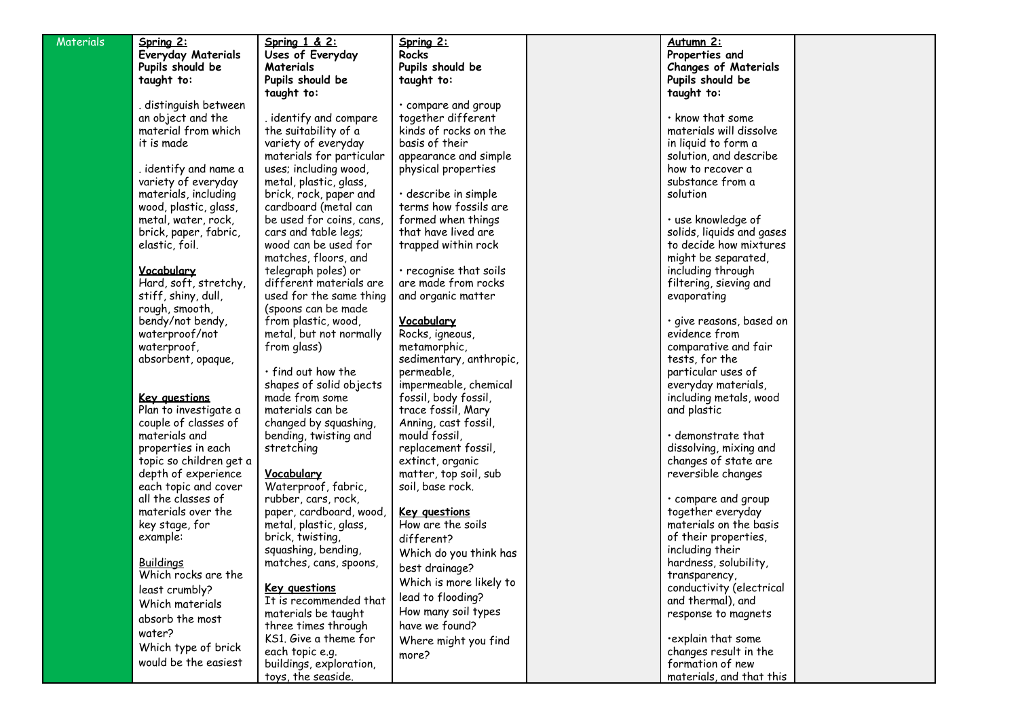| <b>Materials</b> | Spring 2:                                      | Spring 1 & 2:            | Spring 2:                                 | Autumn 2:                                  |  |
|------------------|------------------------------------------------|--------------------------|-------------------------------------------|--------------------------------------------|--|
|                  | <b>Everyday Materials</b>                      | Uses of Everyday         | <b>Rocks</b>                              | Properties and                             |  |
|                  | Pupils should be                               | Materials                | Pupils should be                          | <b>Changes of Materials</b>                |  |
|                  | taught to:                                     | Pupils should be         | taught to:                                | Pupils should be                           |  |
|                  |                                                | taught to:               |                                           | taught to:                                 |  |
|                  | . distinguish between                          |                          | • compare and group                       |                                            |  |
|                  | an object and the                              | . identify and compare   | together different                        | $\cdot$ know that some                     |  |
|                  | material from which                            | the suitability of a     | kinds of rocks on the                     | materials will dissolve                    |  |
|                  | it is made                                     | variety of everyday      | basis of their                            | in liquid to form a                        |  |
|                  |                                                | materials for particular | appearance and simple                     | solution, and describe                     |  |
|                  | . identify and name a                          | uses; including wood,    | physical properties                       | how to recover a                           |  |
|                  | variety of everyday                            | metal, plastic, glass,   |                                           | substance from a                           |  |
|                  | materials, including                           | brick, rock, paper and   | · describe in simple                      | solution                                   |  |
|                  | wood, plastic, glass,                          | cardboard (metal can     | terms how fossils are                     |                                            |  |
|                  | metal, water, rock,                            | be used for coins, cans, | formed when things                        | · use knowledge of                         |  |
|                  | brick, paper, fabric,                          | cars and table legs;     | that have lived are                       | solids, liquids and gases                  |  |
|                  | elastic, foil.                                 | wood can be used for     | trapped within rock                       | to decide how mixtures                     |  |
|                  |                                                | matches, floors, and     |                                           | might be separated,                        |  |
|                  | <u>Vocabulary</u>                              | telegraph poles) or      | $\cdot$ recognise that soils              | including through                          |  |
|                  | Hard, soft, stretchy,                          | different materials are  | are made from rocks                       | filtering, sieving and                     |  |
|                  | stiff, shiny, dull,                            | used for the same thing  | and organic matter                        | evaporating                                |  |
|                  | rough, smooth,                                 | (spoons can be made      |                                           |                                            |  |
|                  | bendy/not bendy,                               | from plastic, wood,      | Vocabulary                                | · give reasons, based on                   |  |
|                  | waterproof/not                                 | metal, but not normally  | Rocks, igneous,                           | evidence from                              |  |
|                  | waterproof,                                    | from glass)              | metamorphic,                              | comparative and fair                       |  |
|                  | absorbent, opaque,                             |                          | sedimentary, anthropic,                   | tests, for the                             |  |
|                  |                                                | $\cdot$ find out how the | permeable,                                | particular uses of                         |  |
|                  |                                                | shapes of solid objects  | impermeable, chemical                     | everyday materials,                        |  |
|                  | Key questions                                  | made from some           | fossil, body fossil,                      | including metals, wood                     |  |
|                  | Plan to investigate a                          | materials can be         | trace fossil, Mary                        | and plastic                                |  |
|                  | couple of classes of                           | changed by squashing,    | Anning, cast fossil,                      |                                            |  |
|                  | materials and                                  | bending, twisting and    | mould fossil,                             | $\cdot$ demonstrate that                   |  |
|                  | properties in each                             | stretching               | replacement fossil,                       | dissolving, mixing and                     |  |
|                  | topic so children get a<br>depth of experience | Vocabulary               | extinct, organic<br>matter, top soil, sub | changes of state are<br>reversible changes |  |
|                  | each topic and cover                           | Waterproof, fabric,      | soil, base rock.                          |                                            |  |
|                  | all the classes of                             | rubber, cars, rock,      |                                           | · compare and group                        |  |
|                  | materials over the                             | paper, cardboard, wood,  | <b>Key questions</b>                      | together everyday                          |  |
|                  | key stage, for                                 | metal, plastic, glass,   | How are the soils                         | materials on the basis                     |  |
|                  | example:                                       | brick, twisting,         | different?                                | of their properties,                       |  |
|                  |                                                | squashing, bending,      |                                           | including their                            |  |
|                  | <b>Buildings</b>                               | matches, cans, spoons,   | Which do you think has                    | hardness, solubility,                      |  |
|                  | Which rocks are the                            |                          | best drainage?                            | transparency,                              |  |
|                  | least crumbly?                                 | <b>Key questions</b>     | Which is more likely to                   | conductivity (electrical                   |  |
|                  | Which materials                                | It is recommended that   | lead to flooding?                         | and thermal), and                          |  |
|                  |                                                | materials be taught      | How many soil types                       | response to magnets                        |  |
|                  | absorb the most                                | three times through      | have we found?                            |                                            |  |
|                  | water?                                         | KS1. Give a theme for    | Where might you find                      | explain that some                          |  |
|                  | Which type of brick                            | each topic e.g.          | more?                                     | changes result in the                      |  |
|                  | would be the easiest                           | buildings, exploration,  |                                           | formation of new                           |  |
|                  |                                                | toys, the seaside.       |                                           | materials, and that this                   |  |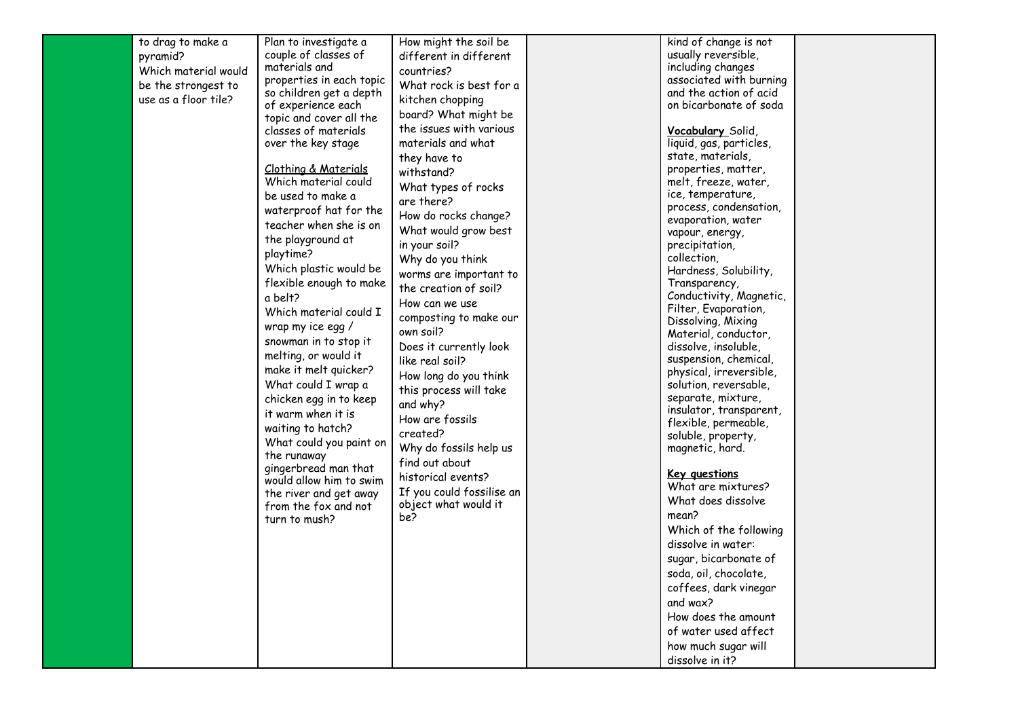| to drag to make a    | Plan to investigate a           | How might the soil be                             | kind of change is not                           |  |
|----------------------|---------------------------------|---------------------------------------------------|-------------------------------------------------|--|
| pyramid?             | couple of classes of            | different in different                            | usually reversible,                             |  |
| Which material would | materials and                   | countries?                                        | including changes                               |  |
| be the strongest to  | properties in each topic        | What rock is best for a                           | associated with burning                         |  |
|                      | so children get a depth         |                                                   | and the action of acid                          |  |
| use as a floor tile? | of experience each              | kitchen chopping                                  | on bicarbonate of soda                          |  |
|                      | topic and cover all the         | board? What might be                              |                                                 |  |
|                      | classes of materials            | the issues with various                           | <b>Vocabulary</b> Solid,                        |  |
|                      | over the key stage              | materials and what                                | liquid, gas, particles,                         |  |
|                      |                                 | they have to                                      | state, materials,                               |  |
|                      | <u>Clothing &amp; Materials</u> | withstand?                                        | properties, matter,                             |  |
|                      | Which material could            | What types of rocks                               | melt, freeze, water,                            |  |
|                      | be used to make a               | are there?                                        | ice, temperature,                               |  |
|                      | waterproof hat for the          | How do rocks change?                              | process, condensation,                          |  |
|                      | teacher when she is on          | What would grow best                              | evaporation, water<br>vapour, energy,           |  |
|                      | the playground at               | in your soil?                                     | precipitation,                                  |  |
|                      | playtime?                       | Why do you think                                  | collection,                                     |  |
|                      | Which plastic would be          | worms are important to                            | Hardness, Solubility,                           |  |
|                      | flexible enough to make         | the creation of soil?                             | Transparency,                                   |  |
|                      | a belt?                         |                                                   | Conductivity, Magnetic,                         |  |
|                      | Which material could I          | How can we use                                    | Filter, Evaporation,                            |  |
|                      | wrap my ice egg /               | composting to make our                            | Dissolving, Mixing                              |  |
|                      | snowman in to stop it           | own soil?                                         | Material, conductor,                            |  |
|                      | melting, or would it            | Does it currently look                            | dissolve, insoluble,                            |  |
|                      |                                 | like real soil?                                   | suspension, chemical,                           |  |
|                      | make it melt quicker?           | How long do you think                             | physical, irreversible,                         |  |
|                      | What could I wrap a             | this process will take                            | solution, reversable,                           |  |
|                      | chicken egg in to keep          | and why?                                          | separate, mixture,                              |  |
|                      | it warm when it is              | How are fossils                                   | insulator, transparent,<br>flexible, permeable, |  |
|                      | waiting to hatch?               | created?                                          | soluble, property,                              |  |
|                      | What could you paint on         | Why do fossils help us                            | magnetic, hard.                                 |  |
|                      | the runaway                     | find out about                                    |                                                 |  |
|                      | gingerbread man that            | historical events?                                | <b>Key questions</b>                            |  |
|                      | would allow him to swim         |                                                   | What are mixtures?                              |  |
|                      | the river and get away          | If you could fossilise an<br>object what would it | What does dissolve                              |  |
|                      | from the fox and not            | be?                                               | mean?                                           |  |
|                      | turn to mush?                   |                                                   | Which of the following                          |  |
|                      |                                 |                                                   | dissolve in water:                              |  |
|                      |                                 |                                                   | sugar, bicarbonate of                           |  |
|                      |                                 |                                                   |                                                 |  |
|                      |                                 |                                                   | soda, oil, chocolate                            |  |
|                      |                                 |                                                   | coffees, dark vinegar                           |  |
|                      |                                 |                                                   | and wax?                                        |  |
|                      |                                 |                                                   | How does the amount                             |  |
|                      |                                 |                                                   | of water used affect                            |  |
|                      |                                 |                                                   | how much sugar will                             |  |
|                      |                                 |                                                   | dissolve in it?                                 |  |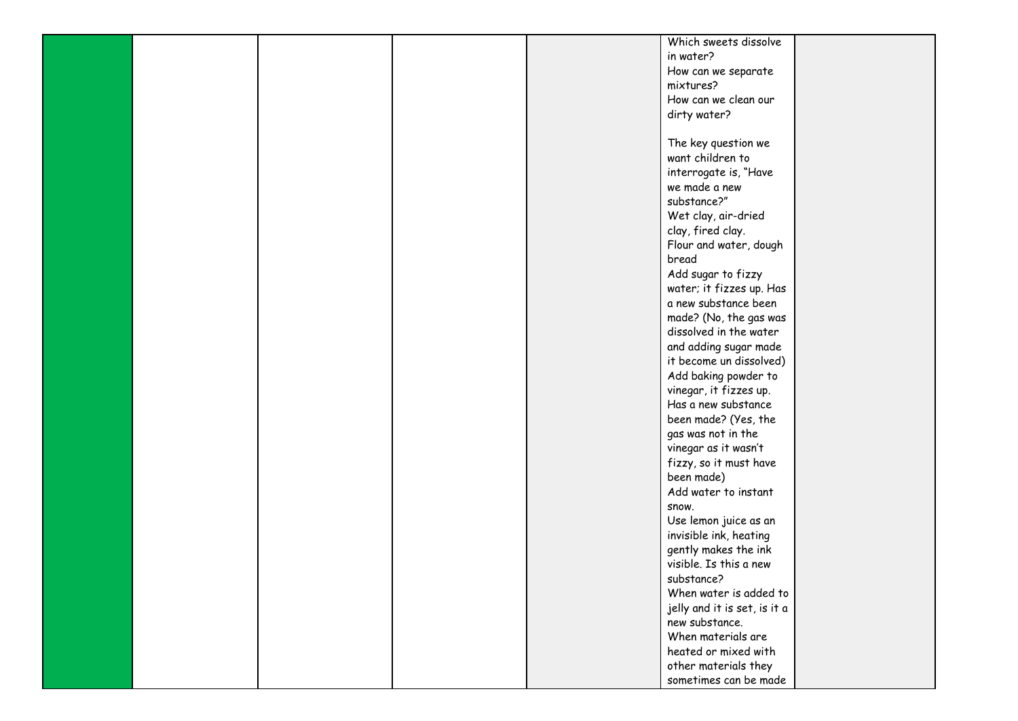|  |  | Which sweets dissolve                |  |
|--|--|--------------------------------------|--|
|  |  | in water?                            |  |
|  |  | How can we separate                  |  |
|  |  | mixtures?                            |  |
|  |  | How can we clean our                 |  |
|  |  | dirty water?                         |  |
|  |  |                                      |  |
|  |  | The key question we                  |  |
|  |  | want children to                     |  |
|  |  | interrogate is, "Have                |  |
|  |  | we made a new                        |  |
|  |  | substance?"                          |  |
|  |  | Wet clay, air-dried                  |  |
|  |  | clay, fired clay.                    |  |
|  |  | Flour and water, dough               |  |
|  |  | bread                                |  |
|  |  | Add sugar to fizzy                   |  |
|  |  | water; it fizzes up. Has             |  |
|  |  | a new substance been                 |  |
|  |  | made? (No, the gas was               |  |
|  |  | dissolved in the water               |  |
|  |  | and adding sugar made                |  |
|  |  | it become un dissolved)              |  |
|  |  | Add baking powder to                 |  |
|  |  | vinegar, it fizzes up.               |  |
|  |  | Has a new substance                  |  |
|  |  | been made? (Yes, the                 |  |
|  |  | gas was not in the                   |  |
|  |  | vinegar as it wasn't                 |  |
|  |  | fizzy, so it must have               |  |
|  |  | been made)                           |  |
|  |  | Add water to instant                 |  |
|  |  | snow.                                |  |
|  |  | Use lemon juice as an                |  |
|  |  | invisible ink, heating               |  |
|  |  | gently makes the ink                 |  |
|  |  | visible. Is this a new               |  |
|  |  | substance?                           |  |
|  |  | When water is added to               |  |
|  |  | jelly and it is set, is it a         |  |
|  |  | new substance.<br>When materials are |  |
|  |  |                                      |  |
|  |  | heated or mixed with                 |  |
|  |  | other materials they                 |  |
|  |  | sometimes can be made                |  |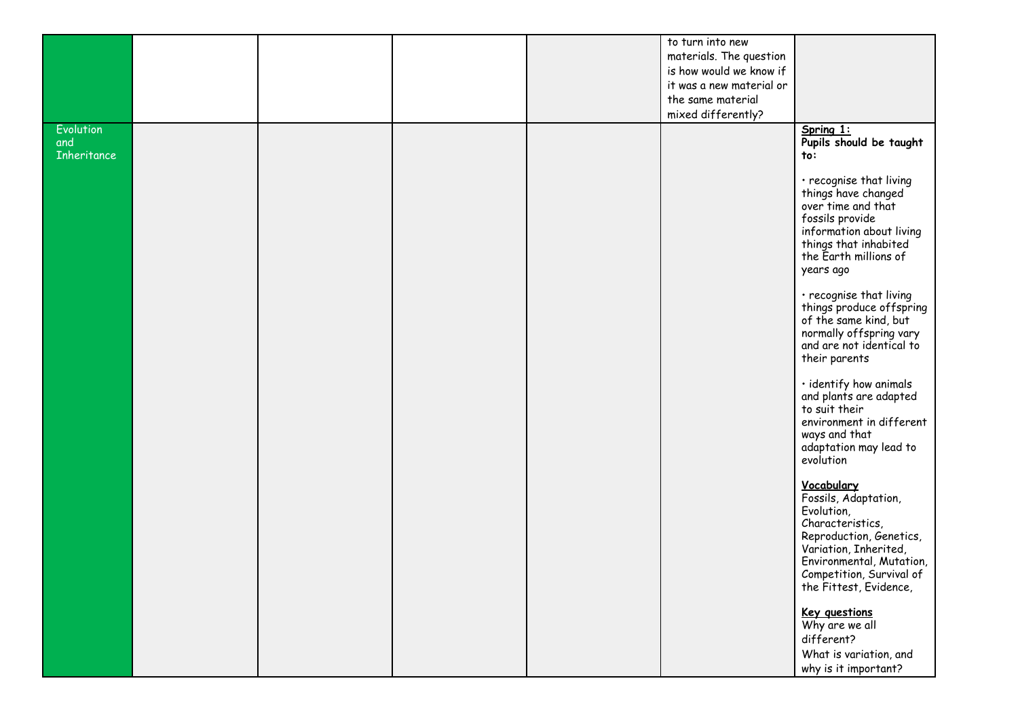|                           |  |  | to turn into new         |                                                                                                                                                                                                            |
|---------------------------|--|--|--------------------------|------------------------------------------------------------------------------------------------------------------------------------------------------------------------------------------------------------|
|                           |  |  | materials. The question  |                                                                                                                                                                                                            |
|                           |  |  | is how would we know if  |                                                                                                                                                                                                            |
|                           |  |  | it was a new material or |                                                                                                                                                                                                            |
|                           |  |  | the same material        |                                                                                                                                                                                                            |
|                           |  |  | mixed differently?       |                                                                                                                                                                                                            |
| Evolution                 |  |  |                          |                                                                                                                                                                                                            |
| and<br><b>Inheritance</b> |  |  |                          | Spring 1:<br>Pupils should be taught<br>to:                                                                                                                                                                |
|                           |  |  |                          | · recognise that living<br>things have changed<br>over time and that<br>fossils provide<br>information about living<br>things that inhabited<br>the Earth millions of<br>years ago                         |
|                           |  |  |                          | · recognise that living<br>things produce offspring<br>of the same kind, but<br>normally offspring vary<br>and are not identical to<br>their parents                                                       |
|                           |  |  |                          | · identify how animals<br>and plants are adapted<br>to suit their<br>environment in different<br>ways and that<br>adaptation may lead to<br>evolution                                                      |
|                           |  |  |                          | Vocabulary<br>Fossils, Adaptation,<br>Evolution,<br>Characteristics,<br>Reproduction, Genetics,<br>Variation, Inherited,<br>Environmental, Mutation,<br>Competition, Survival of<br>the Fittest, Evidence, |
|                           |  |  |                          | <b>Key questions</b><br>Why are we all<br>different?<br>What is variation, and<br>why is it important?                                                                                                     |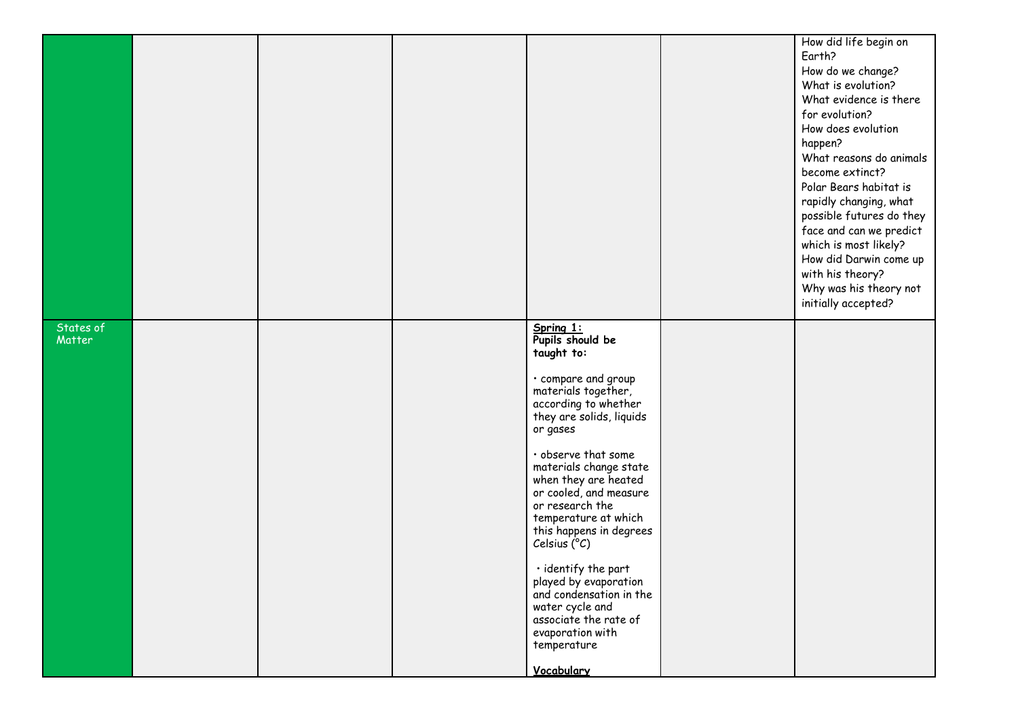|                     |  |                                                                                                                                                                                                                                                                                                                                                                                                                                                                                                                            | How did life begin on<br>Earth?<br>How do we change?<br>What is evolution?<br>What evidence is there<br>for evolution?<br>How does evolution<br>happen?<br>What reasons do animals<br>become extinct?<br>Polar Bears habitat is<br>rapidly changing, what<br>possible futures do they<br>face and can we predict<br>which is most likely?<br>How did Darwin come up<br>with his theory?<br>Why was his theory not<br>initially accepted? |
|---------------------|--|----------------------------------------------------------------------------------------------------------------------------------------------------------------------------------------------------------------------------------------------------------------------------------------------------------------------------------------------------------------------------------------------------------------------------------------------------------------------------------------------------------------------------|------------------------------------------------------------------------------------------------------------------------------------------------------------------------------------------------------------------------------------------------------------------------------------------------------------------------------------------------------------------------------------------------------------------------------------------|
| States of<br>Matter |  | Spring 1:<br>Pupils should be<br>taught to:<br>· compare and group<br>materials together,<br>according to whether<br>they are solids, liquids<br>or gases<br>· observe that some<br>materials change state<br>when they are heated<br>or cooled, and measure<br>or research the<br>temperature at which<br>this happens in degrees<br>Celsius (°C)<br>· identify the part<br>played by evaporation<br>and condensation in the<br>water cycle and<br>associate the rate of<br>evaporation with<br>temperature<br>Vocabulary |                                                                                                                                                                                                                                                                                                                                                                                                                                          |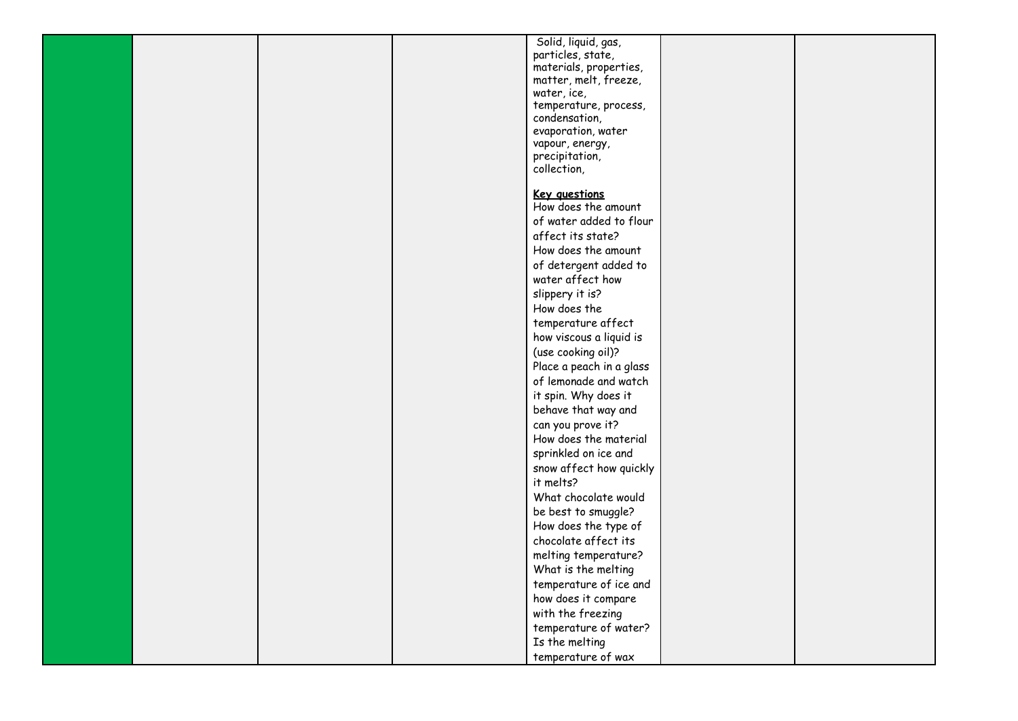|  |  | Solid, liquid, gas,                  |  |
|--|--|--------------------------------------|--|
|  |  |                                      |  |
|  |  | particles, state,                    |  |
|  |  | materials, properties,               |  |
|  |  | matter, melt, freeze,<br>water, ice, |  |
|  |  | temperature, process,                |  |
|  |  | condensation,                        |  |
|  |  | evaporation, water                   |  |
|  |  | vapour, energy,                      |  |
|  |  | precipitation,                       |  |
|  |  | collection,                          |  |
|  |  |                                      |  |
|  |  | Key questions                        |  |
|  |  | How does the amount                  |  |
|  |  | of water added to flour              |  |
|  |  | affect its state?                    |  |
|  |  | How does the amount                  |  |
|  |  |                                      |  |
|  |  | of detergent added to                |  |
|  |  | water affect how                     |  |
|  |  | slippery it is?                      |  |
|  |  | How does the                         |  |
|  |  | temperature affect                   |  |
|  |  | how viscous a liquid is              |  |
|  |  | (use cooking oil)?                   |  |
|  |  | Place a peach in a glass             |  |
|  |  | of lemonade and watch                |  |
|  |  | it spin. Why does it                 |  |
|  |  | behave that way and                  |  |
|  |  | can you prove it?                    |  |
|  |  | How does the material                |  |
|  |  |                                      |  |
|  |  | sprinkled on ice and                 |  |
|  |  | snow affect how quickly              |  |
|  |  | it melts?                            |  |
|  |  | What chocolate would                 |  |
|  |  | be best to smuggle?                  |  |
|  |  | How does the type of                 |  |
|  |  | chocolate affect its                 |  |
|  |  | melting temperature?                 |  |
|  |  | What is the melting                  |  |
|  |  | temperature of ice and               |  |
|  |  | how does it compare                  |  |
|  |  | with the freezing                    |  |
|  |  | temperature of water?                |  |
|  |  | Is the melting                       |  |
|  |  |                                      |  |
|  |  | temperature of wax                   |  |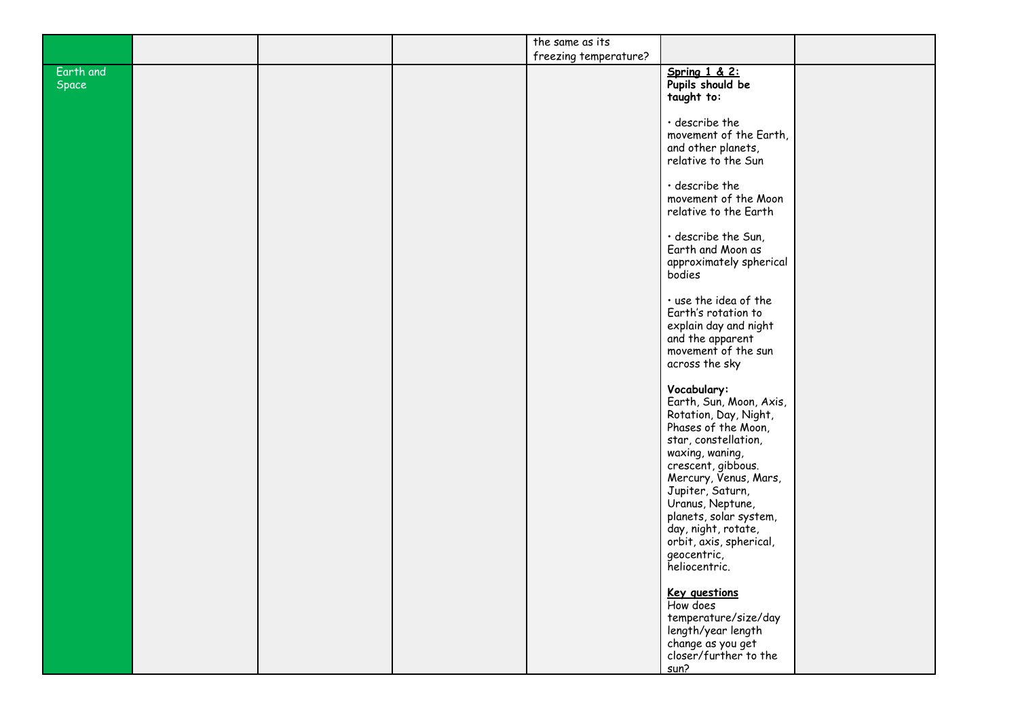|                    |  | the same as its       |                                                                                                                                                                                  |  |
|--------------------|--|-----------------------|----------------------------------------------------------------------------------------------------------------------------------------------------------------------------------|--|
|                    |  | freezing temperature? |                                                                                                                                                                                  |  |
| Earth and<br>Space |  |                       | Spring $1 \& 2$ :<br>Pupils should be<br>taught to:                                                                                                                              |  |
|                    |  |                       | $\cdot$ describe the<br>movement of the Earth,<br>and other planets,<br>relative to the Sun                                                                                      |  |
|                    |  |                       | $\cdot$ describe the<br>movement of the Moon<br>relative to the Earth                                                                                                            |  |
|                    |  |                       | · describe the Sun,<br>Earth and Moon as<br>approximately spherical<br>bodies                                                                                                    |  |
|                    |  |                       | · use the idea of the<br>Earth's rotation to<br>explain day and night<br>and the apparent<br>movement of the sun<br>across the sky                                               |  |
|                    |  |                       | Vocabulary:<br>Earth, Sun, Moon, Axis,<br>Rotation, Day, Night,<br>Phases of the Moon,<br>star, constellation,<br>waxing, waning,<br>crescent, gibbous.<br>Mercury, Venus, Mars, |  |
|                    |  |                       | Jupiter, Saturn,<br>Uranus, Neptune,<br>planets, solar system,<br>day, night, rotate,<br>orbit, axis, spherical,<br>geocentric,<br>heliocentric.                                 |  |
|                    |  |                       | <b>Key questions</b><br>How does<br>temperature/size/day<br>length/year length<br>change as you get<br>closer/further to the<br>sun?                                             |  |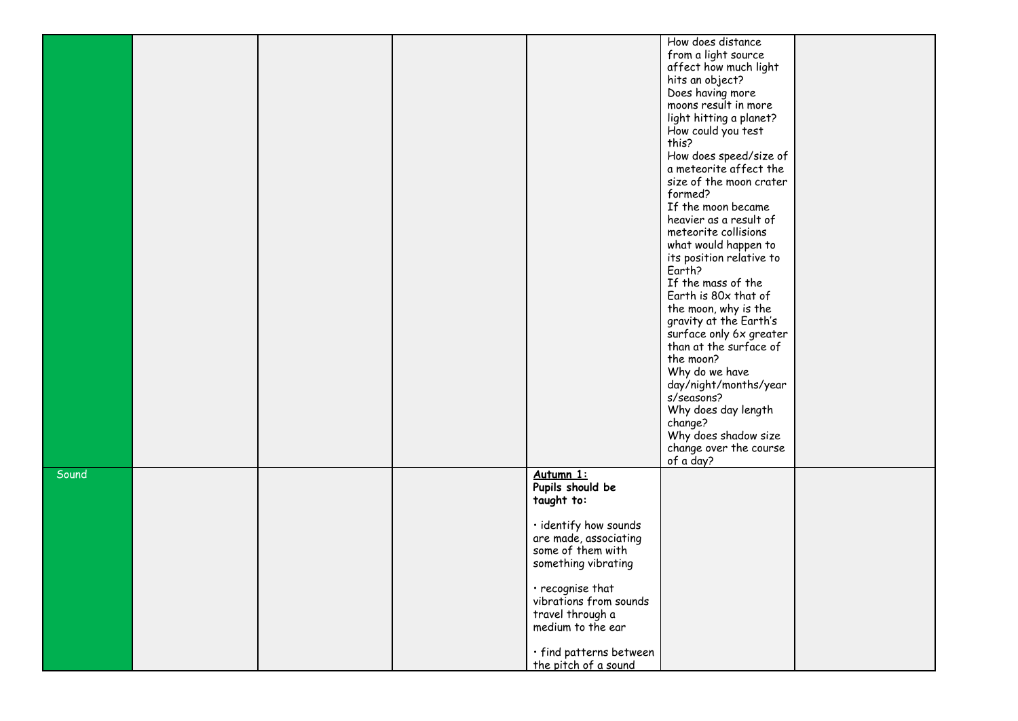|       |  |                         | How does distance        |  |
|-------|--|-------------------------|--------------------------|--|
|       |  |                         |                          |  |
|       |  |                         | from a light source      |  |
|       |  |                         | affect how much light    |  |
|       |  |                         | hits an object?          |  |
|       |  |                         | Does having more         |  |
|       |  |                         | moons result in more     |  |
|       |  |                         | light hitting a planet?  |  |
|       |  |                         | How could you test       |  |
|       |  |                         | this?                    |  |
|       |  |                         | How does speed/size of   |  |
|       |  |                         | a meteorite affect the   |  |
|       |  |                         | size of the moon crater  |  |
|       |  |                         | formed?                  |  |
|       |  |                         | If the moon became       |  |
|       |  |                         |                          |  |
|       |  |                         | heavier as a result of   |  |
|       |  |                         | meteorite collisions     |  |
|       |  |                         | what would happen to     |  |
|       |  |                         | its position relative to |  |
|       |  |                         | Earth?                   |  |
|       |  |                         | If the mass of the       |  |
|       |  |                         | Earth is 80x that of     |  |
|       |  |                         | the moon, why is the     |  |
|       |  |                         | gravity at the Earth's   |  |
|       |  |                         | surface only 6x greater  |  |
|       |  |                         | than at the surface of   |  |
|       |  |                         | the moon?                |  |
|       |  |                         |                          |  |
|       |  |                         | Why do we have           |  |
|       |  |                         | day/night/months/year    |  |
|       |  |                         | s/seasons?               |  |
|       |  |                         | Why does day length      |  |
|       |  |                         | change?                  |  |
|       |  |                         | Why does shadow size     |  |
|       |  |                         | change over the course   |  |
|       |  |                         | of a day?                |  |
| Sound |  | Autumn 1:               |                          |  |
|       |  | Pupils should be        |                          |  |
|       |  | taught to:              |                          |  |
|       |  |                         |                          |  |
|       |  | · identify how sounds   |                          |  |
|       |  | are made, associating   |                          |  |
|       |  | some of them with       |                          |  |
|       |  |                         |                          |  |
|       |  | something vibrating     |                          |  |
|       |  |                         |                          |  |
|       |  | · recognise that        |                          |  |
|       |  | vibrations from sounds  |                          |  |
|       |  | travel through a        |                          |  |
|       |  | medium to the ear       |                          |  |
|       |  |                         |                          |  |
|       |  | · find patterns between |                          |  |
|       |  | the pitch of a sound    |                          |  |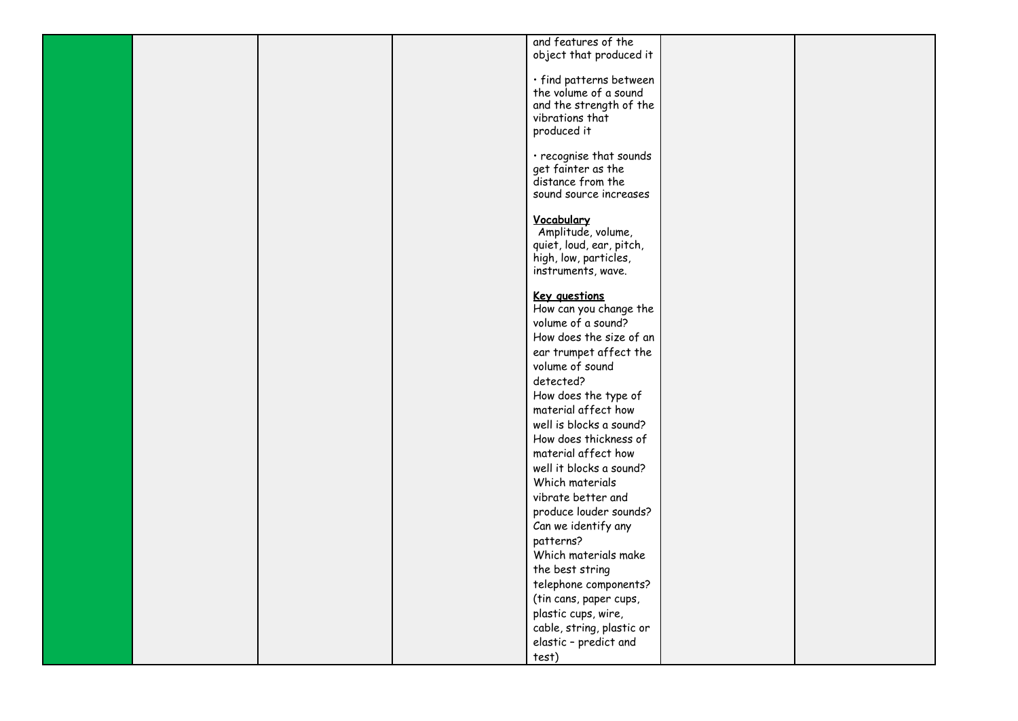|  |  | and features of the       |  |
|--|--|---------------------------|--|
|  |  | object that produced it   |  |
|  |  |                           |  |
|  |  | · find patterns between   |  |
|  |  | the volume of a sound     |  |
|  |  | and the strength of the   |  |
|  |  | vibrations that           |  |
|  |  | produced it               |  |
|  |  |                           |  |
|  |  | · recognise that sounds   |  |
|  |  | get fainter as the        |  |
|  |  | distance from the         |  |
|  |  | sound source increases    |  |
|  |  |                           |  |
|  |  | Vocabulary                |  |
|  |  | Amplitude, volume,        |  |
|  |  | quiet, loud, ear, pitch,  |  |
|  |  |                           |  |
|  |  | high, low, particles,     |  |
|  |  | instruments, wave.        |  |
|  |  | Key questions             |  |
|  |  | How can you change the    |  |
|  |  | volume of a sound?        |  |
|  |  |                           |  |
|  |  | How does the size of an   |  |
|  |  | ear trumpet affect the    |  |
|  |  | volume of sound           |  |
|  |  | detected?                 |  |
|  |  | How does the type of      |  |
|  |  | material affect how       |  |
|  |  | well is blocks a sound?   |  |
|  |  | How does thickness of     |  |
|  |  | material affect how       |  |
|  |  | well it blocks a sound?   |  |
|  |  | Which materials           |  |
|  |  | vibrate better and        |  |
|  |  | produce louder sounds?    |  |
|  |  |                           |  |
|  |  | Can we identify any       |  |
|  |  | patterns?                 |  |
|  |  | Which materials make      |  |
|  |  | the best string           |  |
|  |  | telephone components?     |  |
|  |  | (tin cans, paper cups,    |  |
|  |  | plastic cups, wire,       |  |
|  |  | cable, string, plastic or |  |
|  |  | elastic - predict and     |  |
|  |  |                           |  |
|  |  | test)                     |  |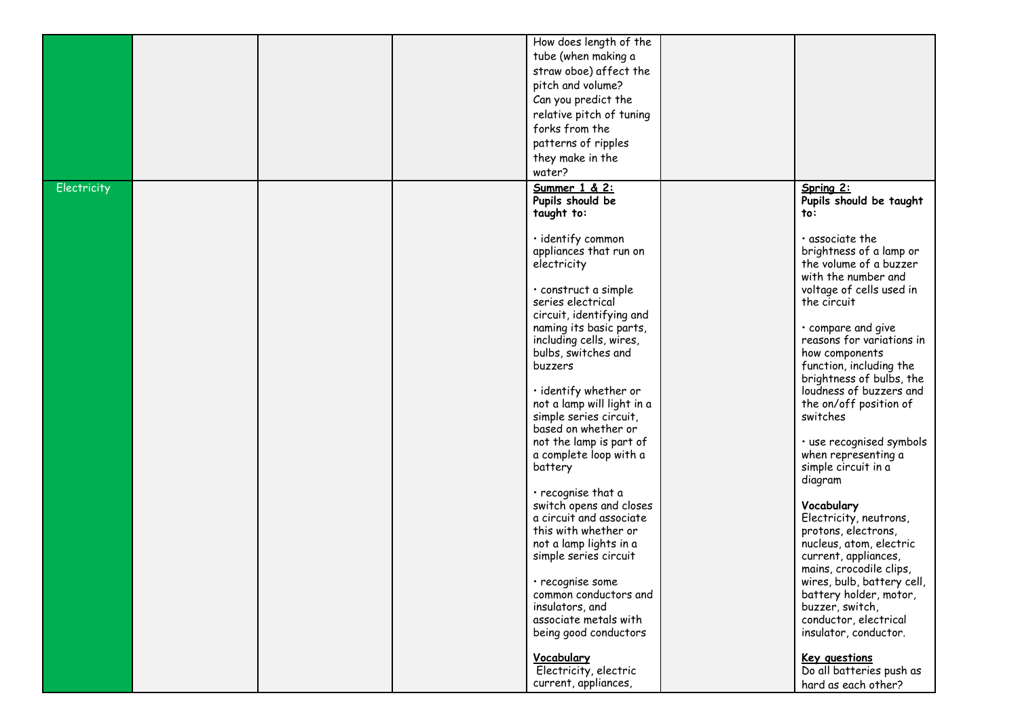|             |  | How does length of the<br>tube (when making a<br>straw oboe) affect the<br>pitch and volume?<br>Can you predict the<br>relative pitch of tuning<br>forks from the<br>patterns of ripples<br>they make in the<br>water?                                                                                                                                                                                                                                                                                                                                                                                                                                                                                                                                                       |                                                                                                                                                                                                                                                                                                                                                                                                                                                                                                                                                                                                                                                                                                                                                                                                      |
|-------------|--|------------------------------------------------------------------------------------------------------------------------------------------------------------------------------------------------------------------------------------------------------------------------------------------------------------------------------------------------------------------------------------------------------------------------------------------------------------------------------------------------------------------------------------------------------------------------------------------------------------------------------------------------------------------------------------------------------------------------------------------------------------------------------|------------------------------------------------------------------------------------------------------------------------------------------------------------------------------------------------------------------------------------------------------------------------------------------------------------------------------------------------------------------------------------------------------------------------------------------------------------------------------------------------------------------------------------------------------------------------------------------------------------------------------------------------------------------------------------------------------------------------------------------------------------------------------------------------------|
| Electricity |  | Summer 1 & 2:<br>Pupils should be<br>taught to:<br>· identify common<br>appliances that run on<br>electricity<br>· construct a simple<br>series electrical<br>circuit, identifying and<br>naming its basic parts,<br>including cells, wires,<br>bulbs, switches and<br>buzzers<br>· identify whether or<br>not a lamp will light in a<br>simple series circuit,<br>based on whether or<br>not the lamp is part of<br>a complete loop with a<br>battery<br>$\cdot$ recognise that a<br>switch opens and closes<br>a circuit and associate<br>this with whether or<br>not a lamp lights in a<br>simple series circuit<br>· recognise some<br>common conductors and<br>insulators, and<br>associate metals with<br>being good conductors<br>Vocabulary<br>Electricity, electric | Spring 2:<br>Pupils should be taught<br>to:<br>$\cdot$ associate the<br>brightness of a lamp or<br>the volume of a buzzer<br>with the number and<br>voltage of cells used in<br>the circuit<br>• compare and give<br>reasons for variations in<br>how components<br>function, including the<br>brightness of bulbs, the<br>loudness of buzzers and<br>the on/off position of<br>switches<br>· use recognised symbols<br>when representing a<br>simple circuit in a<br>diagram<br>Vocabulary<br>Electricity, neutrons,<br>protons, electrons,<br>nucleus, atom, electric<br>current, appliances,<br>mains, crocodile clips,<br>wires, bulb, battery cell,<br>battery holder, motor,<br>buzzer, switch,<br>conductor, electrical<br>insulator, conductor.<br>Key questions<br>Do all batteries push as |
|             |  | current, appliances,                                                                                                                                                                                                                                                                                                                                                                                                                                                                                                                                                                                                                                                                                                                                                         | hard as each other?                                                                                                                                                                                                                                                                                                                                                                                                                                                                                                                                                                                                                                                                                                                                                                                  |